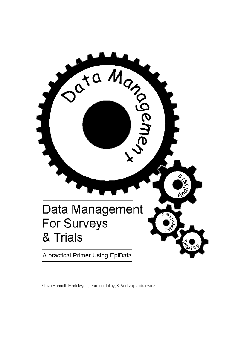

Steve Bennett, Mark Myatt, Damien Jolley, & Andrzej Radalowicz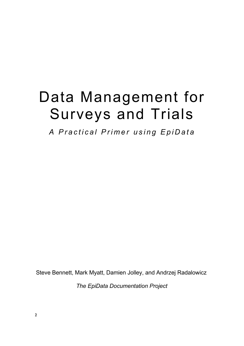# Data Management for Surveys and Trials

A Practical Primer using EpiData

Steve Bennett, Mark Myatt, Damien Jolley, and Andrzej Radalowicz

The EpiData Documentation Project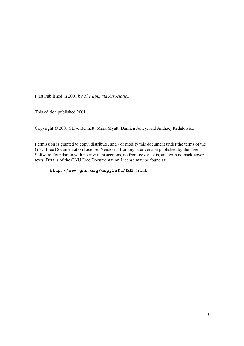First Published in 2001 by The EpiData Association

This edition published 2001

Copyright © 2001 Steve Bennett, Mark Myatt, Damien Jolley, and Andrzej Radalowicz

Permission is granted to copy, distribute, and / or modify this document under the terms of the GNU Free Documentation License, Version 1.1 or any later version published by the Free Software Foundation with no invariant sections, no front-cover texts, and with no back-cover texts. Details of the GNU Free Documentation License may be found at:

#### http://www.gnu.org/copyleft/fdl.html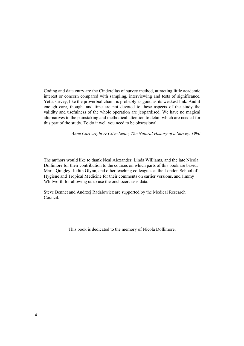Coding and data entry are the Cinderellas of survey method, attracting little academic interest or concern compared with sampling, interviewing and tests of significance. Yet a survey, like the proverbial chain, is probably as good as its weakest link. And if enough care, thought and time are not devoted to these aspects of the study the validity and usefulness of the whole operation are jeopardised. We have no magical alternatives to the painstaking and methodical attention to detail which are needed for this part of the study. To do it well you need to be obsessional.

Anne Cartwright & Clive Seale, The Natural History of a Survey, 1990

The authors would like to thank Neal Alexander, Linda Williams, and the late Nicola Dollimore for their contribution to the courses on which parts of this book are based, Maria Quigley, Judith Glynn, and other teaching colleagues at the London School of Hygiene and Tropical Medicine for their comments on earlier versions, and Jimmy Whitworth for allowing us to use the onchocerciasis data.

Steve Bennet and Andrzej Radalowicz are supported by the Medical Research Council.

This book is dedicated to the memory of Nicola Dollimore.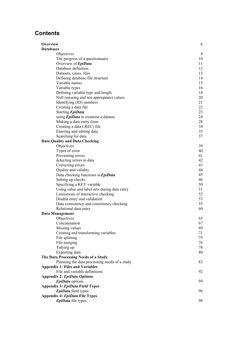# Contents

| Overview                                      | 6  |
|-----------------------------------------------|----|
| <b>Databases</b>                              |    |
| Objectives                                    | 8  |
| The progress of a questionnaire               | 10 |
| Overview of EpiData                           | 11 |
| Database definition                           | 12 |
| Datasets, cases, files                        | 13 |
| Defining database file structure              | 14 |
| Variable names                                | 15 |
| Variable types                                | 16 |
| Defining variable type and length             | 18 |
| Null (missing and not-appropriate) values     | 20 |
| Identifying (ID) numbers                      | 21 |
| Creating a data file                          | 22 |
| Starting EpiData                              | 23 |
| using <i>EpiData</i> to examine a dataset     | 24 |
| Making a data entry form                      | 28 |
| Creating a data (.REC) file                   | 34 |
| Entering and editing data                     | 35 |
| Searching for data                            | 37 |
| <b>Data Quality and Data Checking</b>         |    |
| Objectives                                    | 39 |
| Types of error                                | 40 |
| Preventing errors                             | 41 |
| detecting errors in data                      | 42 |
| Correcting errors                             | 43 |
| Quality and validity                          | 44 |
| Data checking functions in EpiData            | 45 |
| Setting up checks                             | 46 |
| Specifying a KEY variable                     | 50 |
| Using value and label sets during data entry  | 51 |
| Limitations of interactive checking           | 52 |
| Double entry and validation                   | 53 |
| Data consistency and consistency checking     | 55 |
| Relational data entry                         | 60 |
| Data Management                               |    |
| Objectives                                    | 65 |
| Concatenation                                 | 67 |
| Missing values                                | 69 |
| Creating and transforming variables           | 71 |
| File splitting                                | 75 |
| File merging                                  | 76 |
| Tidying up                                    | 78 |
| Exporting data                                | 80 |
| The Data Processing Needs of a Study          |    |
| Planning the data processing needs of a study | 82 |
| <b>Appendix 1: Files and Variables</b>        |    |
| File and variable definitions                 | 92 |
| <b>Appendix 2: EpiData Options</b>            |    |
| EpiData options                               | 94 |
| Appendix 3: EpiData Field Types               |    |
| EpiData field types                           | 96 |
| Appendix 4: EpiData File Types                |    |
| EpiData file types                            | 98 |

 $\ddot{\phantom{a}}$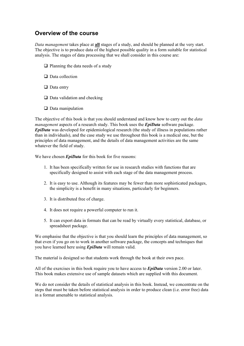### Overview of the course

Data management takes place at all stages of a study, and should be planned at the very start. The objective is to produce data of the highest possible quality in a form suitable for statistical analysis. The stages of data processing that we shall consider in this course are:

- $\Box$  Planning the data needs of a study
- $\Box$  Data collection
- $\Box$  Data entry
- $\Box$  Data validation and checking
- $\Box$  Data manipulation

The objective of this book is that you should understand and know how to carry out the *data management* aspects of a research study. This book uses the **EpiData** software package.  $EpiData$  was developed for epidemiological research (the study of illness in populations rather than in individuals), and the case study we use throughout this book is a medical one, but the principles of data management, and the details of data management activities are the same whatever the field of study.

We have chosen *EpiData* for this book for five reasons:

- 1. It has been specifically written for use in research studies with functions that are specifically designed to assist with each stage of the data management process.
- 2. It is easy to use. Although its features may be fewer than more sophisticated packages, the simplicity is a benefit in many situations, particularly for beginners.
- 3. It is distributed free of charge.
- 4. It does not require a powerful computer to run it.
- 5. It can export data in formats that can be read by virtually every statistical, database, or spreadsheet package.

We emphasise that the objective is that you should learn the principles of data management, so that even if you go on to work in another software package, the concepts and techniques that you have learned here using *EpiData* will remain valid.

The material is designed so that students work through the book at their own pace.

All of the exercises in this book require you to have access to  $\mathbf{EpiData}$  version 2.00 or later. This book makes extensive use of sample datasets which are supplied with this document.

We do not consider the details of statistical analysis in this book. Instead, we concentrate on the steps that must be taken before statistical analysis in order to produce clean (i.e. error free) data in a format amenable to statistical analysis.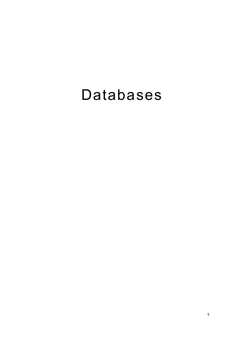# Databases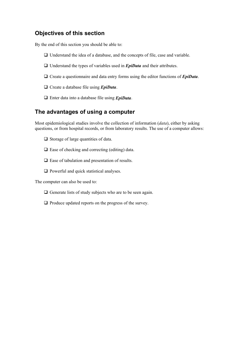## Objectives of this section

By the end of this section you should be able to:

- $\Box$  Understand the idea of a database, and the concepts of file, case and variable.
- $\Box$  Understand the types of variables used in *EpiData* and their attributes.
- $\Box$  Create a questionnaire and data entry forms using the editor functions of  $EpiData$ .
- $\Box$  Create a database file using *EpiData*.
- $\Box$  Enter data into a database file using *EpiData*.

#### The advantages of using a computer

Most epidemiological studies involve the collection of information  $(data)$ , either by asking questions, or from hospital records, or from laboratory results. The use of a computer allows:

- $\Box$  Storage of large quantities of data.
- $\Box$  Ease of checking and correcting (editing) data.
- $\Box$  Ease of tabulation and presentation of results.
- $\Box$  Powerful and quick statistical analyses.

The computer can also be used to:

- $\Box$  Generate lists of study subjects who are to be seen again.
- $\Box$  Produce updated reports on the progress of the survey.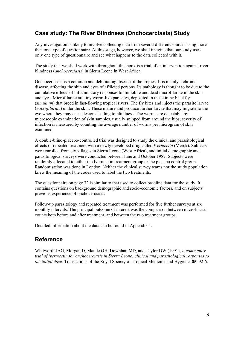# Case study: The River Blindness (Onchocerciasis) Study

Any investigation is likely to involve collecting data from several different sources using more than one type of questionnaire. At this stage, however, we shall imagine that our study uses only one type of questionnaire and see what happens to the data collected with it.

The study that we shall work with throughout this book is a trial of an intervention against river blindness (onchocerciasis) in Sierra Leone in West Africa.

Onchocerciasis is a common and debilitating disease of the tropics. It is mainly a chronic disease, affecting the skin and eyes of afflicted persons. Its pathology is thought to be due to the cumulative effects of inflammatory responses to immobile and dead microfilariae in the skin and eyes. Microfilariae are tiny worm-like parasites, deposited in the skin by blackfly  $(simulum)$  that breed in fast-flowing tropical rivers. The fly bites and injects the parasite larvae (*microfilariae*) under the skin. These mature and produce further larvae that may migrate to the eye where they may cause lesions leading to blindness. The worms are detectable by microscopic examination of skin samples, usually snipped from around the hips; severity of infection is measured by counting the average number of worms per microgram of skin examined.

A double-blind-placebo-controlled trial was designed to study the clinical and parasitological effects of repeated treatment with a newly developed drug called *Ivermectin* (Merck). Subjects were enrolled from six villages in Sierra Leone (West Africa), and initial demographic and parasitological surveys were conducted between June and October 1987. Subjects were randomly allocated to either the Ivermectin treatment group or the placebo control group. Randomisation was done in London. Neither the clinical survey teams nor the study population knew the meaning of the codes used to label the two treatments.

The questionnaire on page 32 is similar to that used to collect baseline data for the study. It contains questions on background demographic and socio-economic factors, and on subjects' previous experience of onchocerciasis.

Follow-up parasitology and repeated treatment was performed for five further surveys at six monthly intervals. The principal outcome of interest was the comparison between microfilarial counts both before and after treatment, and between the two treatment groups.

Detailed information about the data can be found in Appendix 1.

## Reference

Whitworth JAG, Morgan D, Maude GH, Downhan MD, and Taylor DW (1991),  $\Lambda$  community trial of ivermectin for onchocerciasis in Sierra Leone: clinical and parasitological responses to the initial dose, Transactions of the Royal Society of Tropical Medicine and Hygiene, 85, 92-6.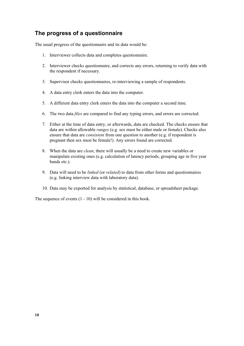#### The progress of a questionnaire

The usual progress of the questionnaire and its data would be:

- 1. Interviewer collects data and completes questionnaire.
- 2. Interviewer checks questionnaire, and corrects any errors, returning to verify data with the respondent if necessary.
- 3. Supervisor checks questionnaires, re-interviewing a sample of respondents.
- 4. A data entry clerk enters the data into the computer.
- 5. A different data entry clerk enters the data into the computer a second time.
- 6. The two data *files* are compared to find any typing errors, and errors are corrected.
- 7. Either at the time of data entry, or afterwards, data are checked. The checks ensure that data are within allowable *ranges* (e.g. sex must be either male or female). Checks also ensure that data are *consistent* from one question to another (e.g. if respondent is pregnant then sex must be female!). Any errors found are corrected.
- 8. When the data are *clean*, there will usually be a need to create new variables or manipulate existing ones (e.g. calculation of latency periods, grouping age in five year bands etc.)
- 9. Data will need to be *linked* (or *related*) to data from other forms and questionnaires (e.g. linking interview data with laboratory data).
- 10. Data may be exported for analysis by statistical, database, or spreadsheet package.

The sequence of events (1 - 10) will be considered in this book.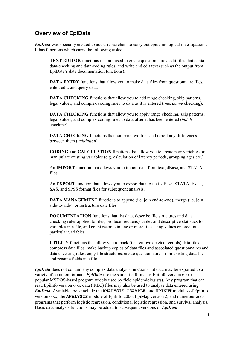# **Overview of EpiData**

EpiData was specially created to assist researchers to carry out epidemiological investigations. It has functions which carry the following tasks:

**TEXT EDITOR** functions that are used to create questionnaires, edit files that contain data-checking and data-coding rules, and write and edit text (such as the output from EpiData's data documentation functions).

**DATA ENTRY** functions that allow you to make data files from questionnaire files, enter, edit, and query data.

**DATA CHECKING** functions that allow you to add range checking, skip patterns, legal values, and complex coding rules to data as it is entered (*interactive* checking).

**DATA CHECKING** functions that allow you to apply range checking, skip patterns, legal values, and complex coding rules to data after it has been entered (batch checking).

DATA CHECKING functions that compare two files and report any differences between them (validation).

CODING and CALCULATION functions that allow you to create new variables or manipulate existing variables (e.g. calculation of latency periods, grouping ages etc.).

An IMPORT function that allows you to import data from text, dBase, and STATA files

An **EXPORT** function that allows you to export data to text, dBase, STATA, Excel, SAS, and SPSS format files for subsequent analysis.

DATA MANAGEMENT functions to append (i.e. join end-to-end), merge (i.e. join side-to-side), or restructure data files.

**DOCUMENTATION** functions that list data, describe file structures and data checking rules applied to files, produce frequency tables and descriptive statistics for variables in a file, and count records in one or more files using values entered into particular variables.

**UTILITY** functions that allow you to pack (i.e. remove deleted records) data files, compress data files, make backup copies of data files and associated questionnaires and data checking rules, copy file structures, create questionnaires from existing data files, and rename fields in a file.

 $EpiData$  does not contain any complex data analysis functions but data may be exported to a variety of common formats. **EpiData** use the same file format as EpiInfo version 6.xx (a popular MSDOS-based program widely used by field epidemiologists). Any program that can read EpiInfo version 6.xx data (.REC) files may also be used to analyse data entered using EpiData. Available tools include the ANALYSIS, CSAMPLE, and EPINUT modules of EpiInfo version 6.xx, the **ANALYSIS** module of EpiInfo 2000, EpiMap version 2, and numerous add-in programs that perform logistic regression, conditional logistic regression, and survival analysis. Basic data analysis functions may be added to subsequent versions of *EpiData*.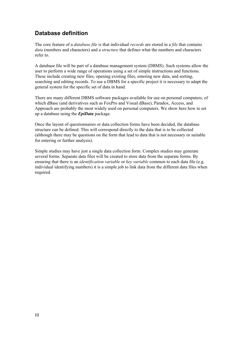## Database definition

The core feature of a *database file* is that individual *records* are stored in a *file* that contains data (numbers and characters) and a *structure* that defines what the numbers and characters refer to.

A database file will be part of a database management system (DBMS). Such systems allow the user to perform a wide range of operations using a set of simple instructions and functions. These include creating new files, opening existing files, entering new data, and sorting, searching and editing records. To use a DBMS for a specific project it is necessary to adapt the general system for the specific set of data in hand.

There are many different DBMS software packages available for use on personal computers, of which dBase (and derivatives such as FoxPro and Visual dBase), Paradox, Access, and Approach are probably the most widely used on personal computers. We show here how to set up a database using the  $EpiData$  package.

Once the layout of questionnaires or data collection forms have been decided, the database structure can be defined. This will correspond directly to the data that is to be collected (although there may be questions on the form that lead to data that is not necessary or suitable for entering or further analysis).

Simple studies may have just a single data collection form. Complex studies may generate several forms. Separate data files will be created to store data from the separate forms. By ensuring that there is an *identification variable* or *key variable* common to each data file (e.g. individual identifying numbers) it is a simple job to link data from the different data files when required.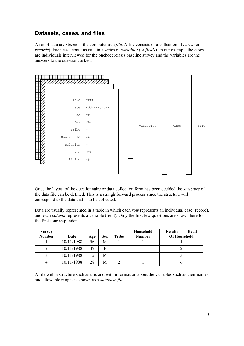#### Datasets, cases, and files

A set of data are *stored* in the computer as a *file*. A file consists of a collection of *cases* (or records). Each case contains data in a series of variables (or fields). In our example the cases are individuals interviewed for the onchocerciasis baseline survey and the variables are the answers to the questions asked:



Once the layout of the questionnaire or data collection form has been decided the *structure* of the data file can be defined. This is a straightforward process since the structure will correspond to the data that is to be collected.

Data are usually represented in a table in which each row represents an individual case (record), and each *column* represents a variable (field). Only the first few questions are shown here for the first four respondents:

| <b>Survey</b><br><b>Number</b> | Date       | Age | <b>Sex</b> | Tribe | Household<br><b>Number</b> | <b>Relation To Head</b><br><b>Of Household</b> |
|--------------------------------|------------|-----|------------|-------|----------------------------|------------------------------------------------|
|                                | 10/11/1988 | 56  | M          |       |                            |                                                |
|                                | 10/11/1988 | 49  | F          |       |                            |                                                |
|                                | 10/11/1988 |     | M          |       |                            |                                                |
|                                | 10/11/1988 | 28  | M          |       |                            |                                                |

A file with a structure such as this and with information about the variables such as their names and allowable ranges is known as a *database file*.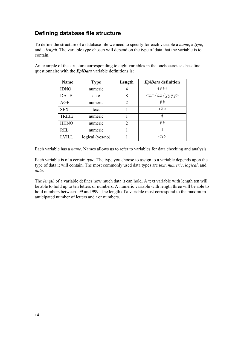# Defining database file structure

To define the structure of a database file we need to specify for each variable a *name*, a type, and a *length*. The variable type chosen will depend on the type of data that the variable is to contain.

An example of the structure corresponding to eight variables in the onchocerciasis baseline questionnaire with the  $EpiData$  variable definitions is:

| Name         | <b>Type</b>         | Length         | EpiData definition      |
|--------------|---------------------|----------------|-------------------------|
| <b>IDNO</b>  | numeric             | 4              | ####                    |
| <b>DATE</b>  | date                | 8              | <mm dd="" yyyy=""></mm> |
| <b>AGE</b>   | numeric             | 2              | ##                      |
| <b>SEX</b>   | text                |                | $<$ A $>$               |
| <b>TRIBE</b> | numeric             |                | #                       |
| <b>HHNO</b>  | numeric             | $\overline{2}$ | ##                      |
| <b>REL</b>   | numeric             |                | $_{\rm \#}$             |
| LVILL        | logical ( $yes/no)$ |                | $<$ Y $>$               |

Each variable has a *name*. Names allows us to refer to variables for data checking and analysis.

Each variable is of a certain type. The type you choose to assign to a variable depends upon the type of data it will contain. The most commonly used data types are text, numeric, logical, and date.

The *length* of a variable defines how much data it can hold. A text variable with length ten will be able to hold up to ten letters or numbers. A numeric variable with length three will be able to hold numbers between -99 and 999. The length of a variable must correspond to the maximum anticipated number of letters and / or numbers.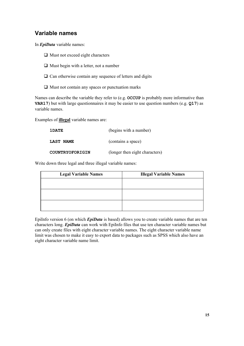# Variable names

In *EpiData* variable names:

- $\Box$  Must not exceed eight characters
- $\Box$  Must begin with a letter, not a number
- $\Box$  Can otherwise contain any sequence of letters and digits
- $\Box$  Must not contain any spaces or punctuation marks

Names can describe the variable they refer to (e.g.  $OCCUP$  is probably more informative than **VAR17**) but with large questionnaires it may be easier to use question numbers (e.g.  $Q17$ ) as variable names.

Examples of **illegal** variable names are:

| 1DATE            | (begins with a number)         |
|------------------|--------------------------------|
| <b>LAST NAME</b> | (contains a space)             |
| COUNTRYOFORIGIN  | (longer then eight characters) |

Write down three legal and three illegal variable names:

| <b>Legal Variable Names</b> | <b>Illegal Variable Names</b> |
|-----------------------------|-------------------------------|
|                             |                               |
|                             |                               |
|                             |                               |
|                             |                               |
|                             |                               |
|                             |                               |

EpiInfo version 6 (on which  $EpiData$  is based) allows you to create variable names that are ten characters long. *EpiData* can work with EpiInfo files that use ten character variable names but can only create files with eight character variable names. The eight character variable name limit was chosen to make it easy to export data to packages such as SPSS which also have an eight character variable name limit.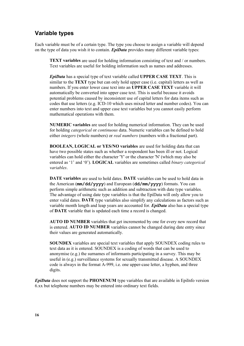#### Variable types

Each variable must be of a certain type. The type you choose to assign a variable will depend on the type of data you wish it to contain.  $EpiData$  provides many different variable types:

**TEXT variables** are used for holding information consisting of text and / or numbers. Text variables are useful for holding information such as names and addresses.

*EpiData* has a special type of text variable called **UPPER CASE TEXT**. This is similar to the **TEXT** type but can only hold upper case (i.e. capital) letters as well as numbers. If you enter lower case text into an UPPER CASE TEXT variable it will automatically be converted into upper case text. This is useful because it avoids potential problems caused by inconsistent use of capital letters for data items such as codes that use letters (e.g. ICD-10 which uses mixed letter and number codes). You can enter numbers into text and upper case text variables but you cannot easily perform mathematical operations with them.

NUMERIC variables are used for holding numerical information. They can be used for holding *categorical* or *continuous* data. Numeric variables can be defined to hold either *integers* (whole numbers) or *real numbers* (numbers with a fractional part).

**BOOLEAN, LOGICAL or YES/NO variables** are used for holding data that can have two possible states such as whether a respondent has been ill or not. Logical variables can hold either the character 'Y' or the character 'N' (which may also be entered as '1' and '0'). **LOGICAL** variables are sometimes called *binary categorical variables* 

DATE variables are used to hold dates. DATE variables can be used to hold data in the American  $(\text{mm}/\text{dd}/\text{yyy})$  and European  $(\text{dd}/\text{mm}/\text{yyy})$  formats. You can perform simple arithmetic such as addition and subtraction with date type variables. The advantage of using date type variables is that the EpiData will only allow you to enter valid dates. DATE type variables also simplify any calculations as factors such as variable month length and leap years are accounted for. **EpiData** also has a special type of **DATE** variable that is updated each time a record is changed.

AUTO ID NUMBER variables that get incremented by one for every new record that is entered. **AUTO ID NUMBER** variables cannot be changed during date entry since their values are generated automatically.

**SOUNDEX** variables are special text variables that apply SOUNDEX coding rules to text data as it is entered. SOUNDEX is a coding of words that can be used to anonymise (e.g.) the surnames of informants participating in a survey. This may be useful in (e.g.) surveillance systems for sexually transmitted disease. A SOUNDEX code is always in the format A-999, i.e. one upper-case letter, a hyphen, and three digits.

EpiData does not support the PHONENUM type variables that are available in EpiInfo version 6.xx but telephone numbers may be entered into ordinary text fields.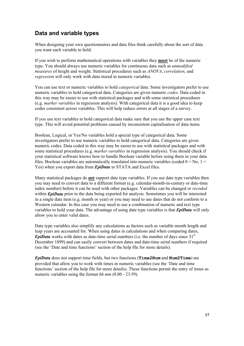## Data and variable types

When designing your own questionnaires and data files think carefully about the sort of data you want each variable to hold.

If you wish to perform mathematical operations with variables they **must** be of the numeric type. You should always use numeric variables for continuous data such as *unmodified measures* of height and weight. Statistical procedures such as  $ANOVA$ , correlation, and regression will only work with data stored in numeric variables.

You can use text or numeric variables to hold *categorical* data. Some investigators prefer to use numeric variables to hold categorical data. Categories are given numeric *codes*. Data coded in this way may be easier to use with statistical packages and with some statistical procedures (e.g. *marker variables* in regression analysis). With categorical data it is a good idea to keep codes consistent across variables. This will help reduce errors at all stages of a survey.

If you use text variables to hold categorical data make sure that you use the upper case text type. This will avoid potential problems caused by inconsistent capitalisation of data items.

Boolean, Logical, or Yes/No variables hold a special type of categorical data. Some investigators prefer to use numeric variables to hold categorical data. Categories are given numeric codes. Data coded in this way may be easier to use with statistical packages and with some statistical procedures (e.g. *marker variables* in regression analysis). You should check if your statistical software knows how to handle Boolean variable before using them in your data files. Boolean variables are automatically translated into numeric variables (coded  $0 = No$ ,  $1 =$ Yes) when you export data from *EpiData* to STATA and Excel files.

Many statistical packages do **not** support date type variables. If you use date type variables then you may need to convert data to a different format (e.g. calendar-month-in-century or date-time index number) before it can be used with other packages. Variables can be changed or recoded within *EpiData* prior to the data being exported for analysis. Sometimes you will be interested in a single data item (e.g. month or year) or you may need to use dates that do not conform to a Western calendar. In this case you may need to use a combination of numeric and text type variables to hold your data. The advantage of using date type variables is that  $EpiData$  will only allow you to enter valid dates.

Date type variables also simplify any calculations as factors such as variable month length and leap years are accounted for. When using dates in calculations and when comparing dates, **EviData** works with dates as date-time serial numbers (i.e. the number of days since  $31<sup>st</sup>$ December 1899) and can easily convert between dates and date-time serial numbers if required (see the 'Date and time functions' section of the help file for more details).

 $EpiData$  does not support time fields, but two functions ( $Time2Num$  and  $Num2Time$ ) are provided that allow you to work with times in numeric variables (see the ëDate and time functions' section of the help file for more details). These functions permit the entry of times as numeric variables using the format  $hhmm$  (0.00 - 23.59).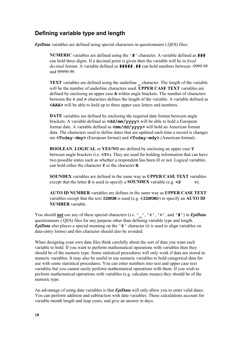#### Defining variable type and length

 $EpiData$  variables are defined using special characters in questionnaire (.QES) files:

**NUMERIC** variables are defined using the  $'$  #  $'$  character. A variable defined as  $\#H$ can hold three digits. If a decimal point is given then the variable will be in  $fixed$ decimal format. A variable defined as  $\# \# \# \#$ ,  $\# \#$  can hold numbers between -9999.99 and 99999.99.

**TEXT** variables are defined using the underline character. The length of the variable will be the number of underline characters used. **UPPER CASE TEXT** variables are defined by enclosing an upper case A within angle brackets. The number of characters between the  $\lt$  and  $\gt$  characters defines the length of the variable. A variable defined as \$\$\$! will be able to hold up to three upper case letters and numbers.

DATE variables are defined by enclosing the required date format between angle brackets. A variable defined as  $\langle \text{dd/mm}/\text{yyyy} \rangle$  will be able to hold a European format date. A variable defined as  $\langle \text{mm/dd}/\text{yyyy} \rangle$  will hold an American format data. The characters used to define dates that are updated each time a record is changes are  $\langle \text{Today-dmy} \rangle$  (European format) and  $\langle \text{Today-mdy} \rangle$  (American format).

**BOOLEAN, LOGICAL or YES/NO** are defined by enclosing an upper case Y between angle brackets (i.e.  $\langle Y \rangle$ ). They are used for holding information that can have two possible states such as whether a respondent has been ill or not. Logical variables can hold either the character  $Y$  or the character  $N$ .

**SOUNDEX** variables are defined in the same way as **UPPER CASE TEXT** variables except that the letter **S** is used to specify a **SOUNDEX** variable (e.g.  $\leq$  **S**).

AUTO ID NUMBER variables are defines in the same way as UPPER CASE TEXT variables except that the text **IDNUM** is used (e.g.  $\leq$ **IDNUM** $>$ ) to specify an **AUTO ID** NUMBER variable.

You should **not** use any of these special characters (i.e.  $! \_ \_ \_ \_ \_ \_ \_ \_ \_ \_ \_ \_ \_ \$  in *EpiData* questionnaire (.QES) files for any purpose other than defining variable type and length. **EpiData** also places a special meaning on the  $\cdot$  @  $\cdot$  character (it is used to align variables on data-entry forms) and this character should also be avoided.

When designing your own data files think carefully about the sort of data you want each variable to hold. If you want to perform mathematical operations with variables then they should be of the numeric type. Some statistical procedures will only work if data are stored in numeric variables. It may also be useful to use numeric variables to hold categorical data for use with some statistical procedures. You can enter numbers into text and upper case text variables but you cannot easily perform mathematical operations with them. If you wish to perform mathematical operations with variables (e.g. calculate means) they should be of the numeric type.

An advantage of using date variables is that  $EpiData$  will only allow you to enter valid dates. You can perform addition and subtraction with date variables. These calculations account for variable month length and leap years, and give an answer in days.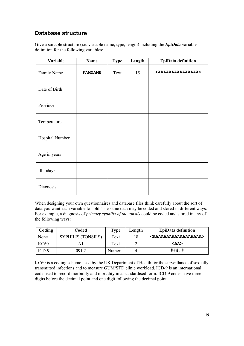# Database structure

Give a suitable structure (i.e. variable name, type, length) including the  $EpiData$  variable definition for the following variables:

| Variable        | Name           | <b>Type</b> | Length | <b>EpiData definition</b>             |
|-----------------|----------------|-------------|--------|---------------------------------------|
| Family Name     | <b>FAMNAME</b> | Text        | 15     | <aaaaaaaaaaaaaaaa></aaaaaaaaaaaaaaaa> |
| Date of Birth   |                |             |        |                                       |
| Province        |                |             |        |                                       |
| Temperature     |                |             |        |                                       |
| Hospital Number |                |             |        |                                       |
| Age in years    |                |             |        |                                       |
| Ill today?      |                |             |        |                                       |
| Diagnosis       |                |             |        |                                       |

When designing your own questionnaires and database files think carefully about the sort of data you want each variable to hold. The same data may be coded and stored in different ways. For example, a diagnosis of *primary syphilis of the tonsils* could be coded and stored in any of the following ways:

| Coding      | Coded                     | <b>Type</b> | Length | <b>EpiData definition</b>                 |
|-------------|---------------------------|-------------|--------|-------------------------------------------|
| None        | <b>SYPHILIS (TONSILS)</b> | Text        | 18     | <aaaaaaaaaaaaaaaaaa></aaaaaaaaaaaaaaaaaa> |
| <b>KC60</b> |                           | Text        |        | $<$ AA $>$                                |
| $ICD-9$     | 0912                      | Numeric     |        | ###.#                                     |

KC60 is a coding scheme used by the UK Department of Health for the surveillance of sexually transmitted infections and to measure GUM/STD clinic workload. ICD-9 is an international code used to record morbidity and mortality in a standardised form. ICD-9 codes have three digits before the decimal point and one digit following the decimal point.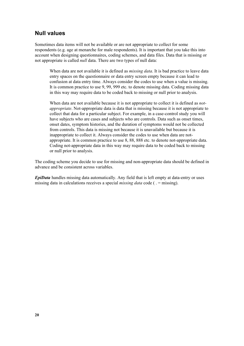#### **Null values**

Sometimes data items will not be available or are not appropriate to collect for some respondents (e.g. age at menarche for male respondents). It is important that you take this into account when designing questionnaires, coding schemes, and data files. Data that is missing or not appropriate is called *null* data. There are two types of null data:

When data are not available it is defined as *missing data*. It is bad practice to leave data entry spaces on the questionnaire or data entry screen empty because it can lead to confusion at data entry time. Always consider the codes to use when a value is missing. It is common practice to use 9, 99, 999 etc. to denote missing data. Coding missing data in this way may require data to be coded back to missing or null prior to analysis.

When data are not available because it is not appropriate to collect it is defined as *not*appropriate. Not-appropriate data is data that is missing because it is not appropriate to collect that data for a particular subject. For example, in a case-control study you will have subjects who are cases and subjects who are controls. Data such as onset times, onset dates, symptom histories, and the duration of symptoms would not be collected from controls. This data is missing not because it is unavailable but because it is inappropriate to collect it. Always consider the codes to use when data are notappropriate. It is common practice to use 8, 88, 888 etc. to denote not-appropriate data. Coding not-appropriate data in this way may require data to be coded back to missing or null prior to analysis.

The coding scheme you decide to use for missing and non-appropriate data should be defined in advance and be consistent across variables.

 $EpiData$  handles missing data automatically. Any field that is left empty at data-entry or uses missing data in calculations receives a special *missing data* code ( $. =$  missing).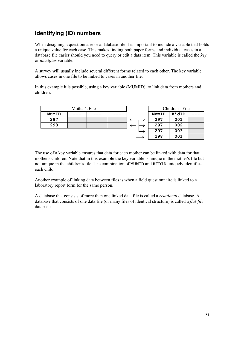# Identifying (ID) numbers

When designing a questionnaire or a database file it is important to include a variable that holds a unique value for each case. This makes finding both paper forms and individual cases in a database file easier should you need to query or edit a data item. This variable is called the  $key$ or identifier variable.

A survey will usually include several different forms related to each other. The key variable allows cases in one file to be linked to cases in another file.

In this example it is possible, using a key variable (MUMID), to link data from mothers and children:

| Mother's File |  |  |  | Children's File |       |  |
|---------------|--|--|--|-----------------|-------|--|
| MumID         |  |  |  | MumID           | KidID |  |
| 297           |  |  |  | 297             | 001   |  |
| 298           |  |  |  | 297             | 002   |  |
|               |  |  |  | 297             | 003   |  |
|               |  |  |  | 298             | 001   |  |

The use of a key variable ensures that data for each mother can be linked with data for that mother's children. Note that in this example the key variable is unique in the mother's file but not unique in the children's file. The combination of **MUMID** and **KIDID** uniquely identifies each child.

Another example of linking data between files is when a field questionnaire is linked to a laboratory report form for the same person.

A database that consists of more than one linked data file is called a *relational* database. A database that consists of one data file (or many files of identical structure) is called a *flat-file* database.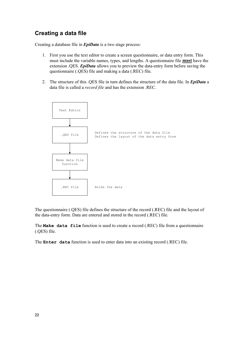## Creating a data file

Creating a database file in  $EpiData$  is a two stage process:

- 1. First you use the text editor to create a screen questionnaire, or data entry form. This must include the variable names, types, and lengths. A questionnaire file  $_{\text{must}}$  have the extension .QES. *EpiData* allows you to preview the data-entry form before saving the questionnaire (.QES) file and making a data (.REC) file.
- 2. The structure of this .QES file in turn defines the structure of the data file. In  $EpiData$  a data file is called a record file and has the extension .REC.



The questionnaire (.QES) file defines the structure of the record (.REC) file and the layout of the data-entry form. Data are entered and stored in the record (.REC) file.

The Make data file function is used to create a record (.REC) file from a questionnaire (.QES) file.

The **Enter** data function is used to enter data into an existing record (.REC) file.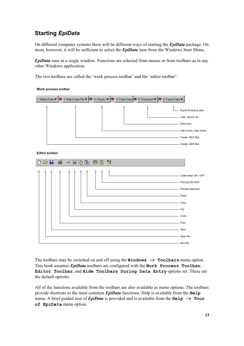# **Starting EpiData**

On different computer systems there will be different ways of starting the  $EpiData$  package. On most, however, it will be sufficient to select the *EpiData* item from the Windows Start Menu.

 $EpiData$  runs in a single window. Functions are selected from menus or from toolbars as in any other Windows application.

The two toolbars are called the 'work process toolbar' and the 'editor toolbar':



The toolbars may be switched on and off using the  $\text{Windows} \rightarrow \text{Toolsars}$  menu option. This book assumes  $EpiData$  toolbars are configured with the **Work** Process Toolbar, Editor Toolbar, and Hide Toolbars During Data Entry options set. These are the default options.

All of the functions available from the toolbars are also available as menu options. The toolbars provide shortcuts to the most common  $EpiData$  functions. Help is available from the  $He1p$ menu. A brief guided tour of  $EpiData$  is provided and is available from the  $He1p \rightarrow Tour$ of EpiData menu option.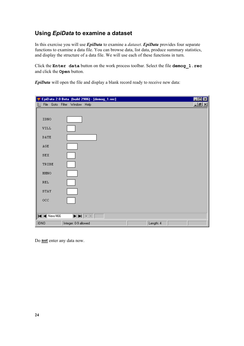In this exercise you will use *EpiData* to examine a *dataset. EpiData* provides four separate functions to examine a data file. You can browse data, list data, produce summary statistics, and display the structure of a data file. We will use each of these functions in turn.

Click the Enter data button on the work process toolbar. Select the file demog 1. rec and click the **Open** button.

 $EpiData$  will open the file and display a blank record ready to receive new data:

|                                       | <mark>享</mark> EpiData 2.0 Beta (build 2906) - [demog_1.rec]                                                                        | $  \Box   \Box   \times  $ |
|---------------------------------------|-------------------------------------------------------------------------------------------------------------------------------------|----------------------------|
| н                                     | File Goto Filter Window Help                                                                                                        | <u>니리지</u>                 |
| IDNO                                  |                                                                                                                                     |                            |
| <b>VILL</b>                           |                                                                                                                                     |                            |
| DATE                                  |                                                                                                                                     |                            |
| $\mathtt{AGE}$                        |                                                                                                                                     |                            |
| SEX                                   |                                                                                                                                     |                            |
| TRIBE                                 |                                                                                                                                     |                            |
| ${\tt HHNO}$                          |                                                                                                                                     |                            |
| <b>REL</b>                            |                                                                                                                                     |                            |
| STAY                                  |                                                                                                                                     |                            |
| OCC                                   |                                                                                                                                     |                            |
|                                       |                                                                                                                                     |                            |
| $\blacksquare$ $\blacksquare$ New/466 | $\blacktriangleright$ $\blacktriangleright$ $\blacktriangleright$ $\blacktriangleright$ $\blacktriangleright$ $\blacktriangleright$ |                            |
| <b>IDNO</b>                           | Integer: 0-9 allowed<br>Length: 4                                                                                                   |                            |

Do not enter any data now.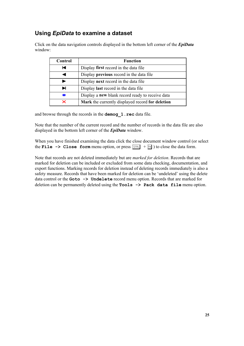| Click on the data navigation controls displayed in the bottom left corner of the <i>EpiData</i> |
|-------------------------------------------------------------------------------------------------|
| window:                                                                                         |

| Control | <b>Function</b>                                  |
|---------|--------------------------------------------------|
| ы       | Display first record in the data file            |
|         | Display <b>previous</b> record in the data file  |
|         | Display <b>next</b> record in the data file      |
| ы       | Display <b>last</b> record in the data file      |
| ж       | Display a new blank record ready to receive data |
| ×       | Mark the currently displayed record for deletion |

and browse through the records in the **demog**  $1$ . **rec** data file.

Note that the number of the current record and the number of records in the data file are also displayed in the bottom left corner of the  $EpiData$  window.

When you have finished examining the data click the close document window control (or select the File  $\rightarrow$  Close form menu option, or press  $\boxed{\text{CFR}}$  +  $\boxed{F4}$ ) to close the data form.

Note that records are not deleted immediately but are *marked for deletion*. Records that are marked for deletion can be included or excluded from some data checking, documentation, and export functions. Marking records for deletion instead of deleting records immediately is also a safety measure. Records that have been marked for deletion can be 'undeleted' using the delete data control or the  $\text{Goto} \rightarrow \text{Undelete}$  record menu option. Records that are marked for deletion can be permanently deleted using the  $\texttt{Tools} \rightarrow \texttt{Pack}$  data file menu option.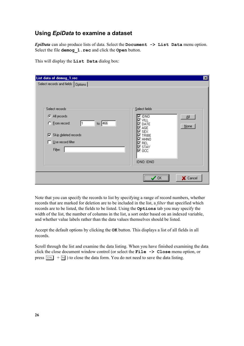EpiData can also produce lists of data. Select the  $Document$  -> List Data menu option. Select the file **demog** 1. rec and click the Open button.

| List data of demog_1.rec                                                                                                                                                   |                                                                                                                                                                        | $\vert x \vert$ |
|----------------------------------------------------------------------------------------------------------------------------------------------------------------------------|------------------------------------------------------------------------------------------------------------------------------------------------------------------------|-----------------|
| Select records and fields   Options  <br>Select records<br>C All records<br>to: $466$<br>C Erom record:<br>Skip deleted records<br>⊽.<br>Use record filter<br>⊓<br>Filter: | Select fields:<br>$\overline{\mathbf{M}}$ IDNO<br>쇄<br>12 vill<br>DATE<br>⊽<br>$None$<br>AGE<br>⊽<br>io sex<br>TRIBE<br>⊽<br>⊠ ннмо<br>l Rel<br>$\boxdot$ STAY<br>⊠осс |                 |
|                                                                                                                                                                            | IDNO: IDNO<br><br>X Cancel<br>OΚ                                                                                                                                       |                 |

This will display the List Data dialog box:

Note that you can specify the records to list by specifying a range of record numbers, whether records that are marked for deletion are to be included in the list, a *filter* that specified which records are to be listed, the fields to be listed. Using the **Options** tab you may specify the width of the list, the number of columns in the list, a sort order based on an indexed variable, and whether value labels rather than the data values themselves should be listed.

Accept the default options by clicking the **OK** button. This displays a list of all fields in all records.

Scroll through the list and examine the data listing. When you have finished examining the data click the close document window control (or select the  $\text{File} \rightarrow \text{Close}$  menu option, or press  $\boxed{\text{CTR}}$  +  $\boxed{F4}$ ) to close the data form. You do not need to save the data listing.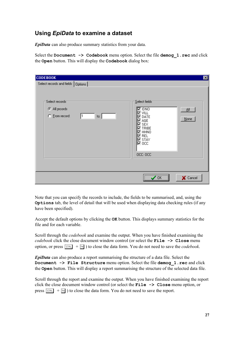EpiData can also produce summary statistics from your data.

Select the Document  $\rightarrow$  Codebook menu option. Select the file demog 1. rec and click the Open button. This will display the Codebook dialog box:

| <b>CODEBOOK</b><br>Select records and fields   Options              |                                                                                                                                                                                                 | 図            |
|---------------------------------------------------------------------|-------------------------------------------------------------------------------------------------------------------------------------------------------------------------------------------------|--------------|
| Select records<br>C All records<br>C Erom record:<br>$\mathsf{to}:$ | Select fields<br>$\overline{\mathbf{M}}$ IDNO<br>M vill<br>$\nabla$ date<br>l⊠ AGE<br>M SEX<br>$\nabla$ Tribe<br>⊠ннмо<br>l Rel<br>$\overline{\triangleright}$ STAY<br>$\nabla$ occ<br>OCC: OCC | 쇄<br>$N$ one |
|                                                                     |                                                                                                                                                                                                 |              |
|                                                                     | <br>ΟK                                                                                                                                                                                          | X Cancel     |

Note that you can specify the records to include, the fields to be summarised, and, using the **Options** tab, the level of detail that will be used when displaying data checking rules (if any have been specified).

Accept the default options by clicking the **OK** button. This displays summary statistics for the file and for each variable.

Scroll through the *codebook* and examine the output. When you have finished examining the codebook click the close document window control (or select the  $File \rightarrow Close$  menu option, or press  $\boxed{\text{CTRL}}$  +  $\boxed{\text{F4}}$ ) to close the data form. You do not need to save the *codebook*.

 $EpiData$  can also produce a report summarising the structure of a data file. Select the Document -> File Structure menu option. Select the file demog 1. rec and click the **Open** button. This will display a report summarising the structure of the selected data file.

Scroll through the report and examine the output. When you have finished examining the report click the close document window control (or select the  $\text{File} \rightarrow \text{Close}$  menu option, or press  $\boxed{\text{CTR}}$  +  $\boxed{\text{F4}}$ ) to close the data form. You do not need to save the report.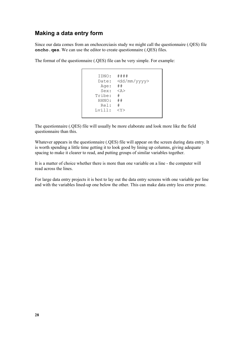#### Making a data entry form

Since our data comes from an onchocerciasis study we might call the questionnaire (.QES) file  $\mathbf{oncho}$ .  $\mathbf{qes}$ . We can use the editor to create questionnaire (.QES) files.

The format of the questionnaire (.QES) file can be very simple. For example:

```
 IDNO: ####
 Date: <dd/mm/yyyy>
 Age: ##
  Sex: <A>
 Tribe: #
 HHNO: ##
  Rel: #
Lvill: <Y>
```
The questionnaire (.QES) file will usually be more elaborate and look more like the field questionnaire than this.

Whatever appears in the questionnaire (.QES) file will appear on the screen during data entry. It is worth spending a little time getting it to look good by lining up columns, giving adequate spacing to make it clearer to read, and putting groups of similar variables together.

It is a matter of choice whether there is more than one variable on a line - the computer will read across the lines.

For large data entry projects it is best to lay out the data entry screens with one variable per line and with the variables lined-up one below the other. This can make data entry less error prone.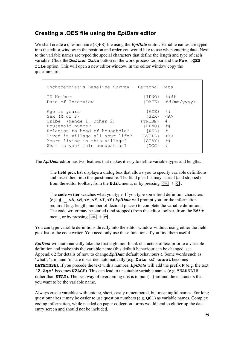## Creating a .QES file using the *EpiData* editor

We shall create a questionnaire (.QES) file using the **EpiData** editor. Variable names are typed into the editor window in the position and order you would like to use when entering data. Next to the variable names are typed the special characters that define the length and type of each variable. Click the Define Data button on the work process toolbar and the  $New$ . QES file option. This will open a new editor window. In the editor window copy the questionnaire:

```
 Onchocerciasis Baseline Survey - Personal Data
 ID Number {IDNO} ####
Date of Interview (DATE) d d / mm / y y y y >Age in years {AGE} ##
Sex (M or F) \{SEX\} \langle A \rangleTribe (Mende 1, Other 2) {TRIBE} #
 Household number {HHNO} ##
Relation to head of household? (REL) #<br>Lived in village all your life? {LVILL} <Y>
Lived in village all your life? {LVILL}Years living in this village? (STAY) ##
What is your main occupation? {OCC} #
```
The **EpiData** editor has two features that makes it easy to define variable types and lengths:

The **field pick list** displays a dialog box that allows you to specify variable definitions and insert them into the questionnaire. The field pick list may started (and stopped) from the editor toolbar, from the **Edit** menu, or by pressing  $\boxed{\text{CTR}}$  +  $\boxed{Q}$ .

The **code writer** watches what you type. If you type some field definition characters (e.g.  $\sharp$ ,  $\prec$  A,  $\prec$  A,  $\prec$  A,  $\prec$   $\sharp$ ,  $\prec$   $\sharp$ ,  $\prec$   $\sharp$ ,  $\prec$   $\sharp$ ,  $\prec$   $\sharp$ ,  $\prec$   $\sharp$ ,  $\prec$   $\sharp$ ,  $\prec$   $\sharp$ ,  $\prec$   $\sharp$ ,  $\prec$   $\sharp$ ,  $\prec$   $\sharp$ ,  $\prec$   $\sharp$ ,  $\prec$   $\sharp$ ,  $\prec$   $\sharp$ ,  $\prec$   $\sharp$ ,  $\prec$   $\sharp$ ,  $\prec$   $\sharp$ required (e.g. length, number of decimal places) to complete the variable definition. The code writer may be started (and stopped) from the editor toolbar, from the  $\text{Edit}$ menu, or by pressing  $\boxed{\text{CTRL}}$  +  $\boxed{\text{W}}$ .

You can type variable definitions directly into the editor window without using either the field pick list or the code writer. You need only use these functions if you find them useful.

 $EpiData$  will automatically take the first eight non-blank characters of text prior to a variable definition and make this the variable name (this default behaviour can be changed, see Appendix 2 for details of how to change  $EpiData$  default behaviours.). Some words such as 'what', 'are', and 'of' are discarded automatically (e.g.  $\text{Date}$  of onset becomes **DATEONSE**). If you precede the text with a number,  $EpiData$  will add the prefix  $N$  (e.g. the text '2. Age' becomes N2AGE). This can lead to unsuitable variable names (e.g. YEARSLIV rather than  $STAY$ ). The best way of overcoming this is to put  $\{\}$  around the characters that you want to be the variable name.

Always create variables with unique, short, easily remembered, but meaningful names. For long questionnaires it may be easier to use question numbers (e.g.  $Q01$ ) as variable names. Complex coding information, while needed on paper collection forms would tend to clutter up the data entry screen and should not be included.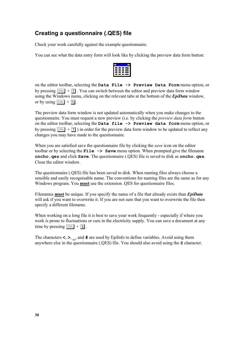# Creating a questionnaire (.QES) file

Check your work carefully against the example questionnaire.

You can see what the data entry form will look like by clicking the preview data form button:

| - - -<br>۰ |  |
|------------|--|
|            |  |
| . .<br>_   |  |
| — — —      |  |
| L          |  |

on the editor toolbar, selecting the Data File  $\rightarrow$  Preview Data Form menu option, or by pressing  $\boxed{\text{CPE}}$  +  $\boxed{\text{T}}$ . You can switch between the editor and preview data form window using the Windows menu, clicking on the relevant tabs at the bottom of the *EpiData* window, or by using  $\boxed{\text{CTRL}} + \boxed{1}$ .

The preview data form window is not updated automatically when you make changes to the questionnaire. You must request a new preview (i.e. by clicking the *preview data form* button on the editor toolbar, selecting the Data file  $\rightarrow$  Preview data form menu option, or by pressing  $\boxed{\text{CTRL}} + \boxed{\text{T}}$ ) in order for the preview data form window to be updated to reflect any changes you may have made to the questionnaire.

When you are satisfied save the questionnaire file by clicking the *save* icon on the editor toolbar or by selecting the  $\text{File} \rightarrow \text{Save}$  menu option. When prompted give the filename oncho.  $q$ es and click  $S$ ave. The questionnaire (.QES) file is saved to disk as oncho.  $q$ es. Close the editor window.

The questionnaire (.QES) file has been saved to disk. When naming files always choose a sensible and easily recognisable name. The conventions for naming files are the same as for any Windows program. You **must** use the extension .QES for questionnaire files.

Filenames must be unique. If you specify the name of a file that already exists than *EpiData* will ask if you want to overwrite it. If you are not sure that you want to overwrite the file then specify a different filename.

When working on a long file it is best to save your work frequently - especially if where you work is prone to fluctuations or cuts in the electricity supply. You can save a document at any time by pressing  $\boxed{\text{CTRL}} + \boxed{\text{S}}$ .

The characters  $\lt$ ,  $\gt$ ,  $\Box$ , and  $\#$  are used by EpiInfo to define variables. Avoid using them anywhere else in the questionnaire  $(QES)$  file. You should also avoid using the  $@$  character.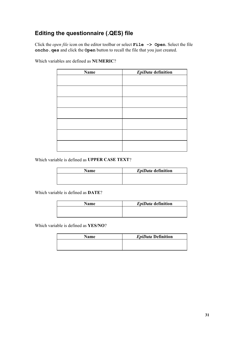# Editing the questionnaire (.QES) file

Click the *open file* icon on the editor toolbar or select  $\text{File} \rightarrow \text{Open}$ . Select the file oncho. ges and click the Open button to recall the file that you just created.

| Name | EpiData definition |
|------|--------------------|
|      |                    |
|      |                    |
|      |                    |
|      |                    |
|      |                    |
|      |                    |
|      |                    |

Which variables are defined as **NUMERIC**?

Which variable is defined as UPPER CASE TEXT?

| Name | EpiData definition |
|------|--------------------|
|      |                    |
|      |                    |

Which variable is defined as  $\textbf{DATE}$ ?

| Name | EpiData definition |
|------|--------------------|
|      |                    |
|      |                    |

Which variable is defined as YES/NO?

| <b>Name</b> | <b>EpiData Definition</b> |
|-------------|---------------------------|
|             |                           |
|             |                           |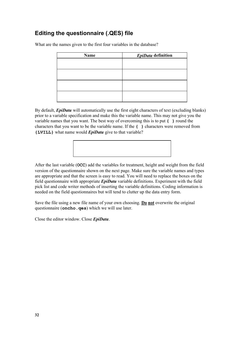# Editing the questionnaire (.QES) file

What are the names given to the first four variables in the database?

| <b>Name</b> | EpiData definition |  |  |  |
|-------------|--------------------|--|--|--|
|             |                    |  |  |  |
|             |                    |  |  |  |
|             |                    |  |  |  |
|             |                    |  |  |  |
|             |                    |  |  |  |
|             |                    |  |  |  |
|             |                    |  |  |  |
|             |                    |  |  |  |

By default,  $EpiData$  will automatically use the first eight characters of text (excluding blanks) prior to a variable specification and make this the variable name. This may not give you the variable names that you want. The best way of overcoming this is to put  $\{\}$  round the characters that you want to be the variable name. If the  $\{\}$  characters were removed from  $\{LUILL\}$  what name would *EpiData* give to that variable?



After the last variable (OCC) add the variables for treatment, height and weight from the field version of the questionnaire shown on the next page. Make sure the variable names and types are appropriate and that the screen is easy to read. You will need to replace the boxes on the field questionnaire with appropriate  $EpiData$  variable definitions. Experiment with the field pick list and code writer methods of inserting the variable definitions. Coding information is needed on the field questionnaires but will tend to clutter up the data entry form.

Save the file using a new file name of your own choosing. **Do not** overwrite the original questionnaire  $(oncho. qes)$  which we will use later.

Close the editor window. Close *EpiData*.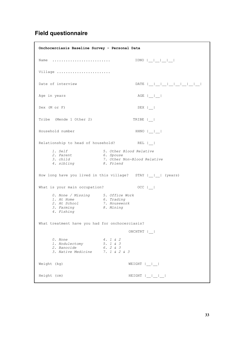# Field questionnaire

| Onchocerciasis Baseline Survey - Personal Data                                             |                                                                                  |
|--------------------------------------------------------------------------------------------|----------------------------------------------------------------------------------|
| Name                                                                                       |                                                                                  |
| Village                                                                                    |                                                                                  |
| Date of interview                                                                          |                                                                                  |
| Age in years                                                                               | $AGE$ $ $ $ $ $ $ $ $                                                            |
| Sex (M or F)                                                                               | $SEX$                                                                            |
| Tribe (Mende 1 Other 2)                                                                    | TRIBE                                                                            |
| Household number                                                                           | HHNO  __ __                                                                      |
| Relationship to head of household?                                                         | $REL$                                                                            |
| <i>1. Self</i><br>2. Parent<br>3. child<br>3. child<br>4. sibling                          | 5. Other Blood Relative<br>6. Spouse<br>7. Other Non-Blood Relative<br>8. Friend |
|                                                                                            | How long have you lived in this village? STAY       (years)                      |
| What is your main occupation?                                                              | $OCC$                                                                            |
| 0. None / Missing 5. Office Work<br>1. At Home<br>2. At School<br>3. Farming<br>4. Fishing | 6. Trading<br>7. Housework<br>8. Mining                                          |
| What treatment have you had for onchocerciasis?                                            |                                                                                  |
|                                                                                            | ONCHTRT  _                                                                       |
| 0. None<br>1. Nodulectomy<br>2. Banocide<br>3. Native Medicine 7. 1 & 2 & 3                | 4. 1 & 2<br>5. 1 & 3<br>6.2 & 3                                                  |
| Weight (kg)                                                                                | $WEIGHT  $ _ $ $                                                                 |
| Height (cm)                                                                                | $HEIGHT$ $ $ $ $ $ $ $ $ $ $ $ $ $ $ $ $                                         |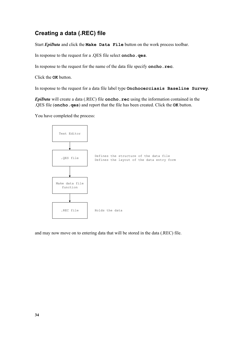# Creating a data (.REC) file

Start  $EpiData$  and click the Make Data File button on the work process toolbar.

In response to the request for a .QES file select oncho. qes.

In response to the request for the name of the data file specify **oncho**.  $\text{rec}$ .

Click the **OK** button.

In response to the request for a data file label type **Onchocerciasis** Baseline Survey.

 $EpiData$  will create a data (.REC) file oncho. rec using the information contained in the  $R$ , QES file (oncho. qes) and report that the file has been created. Click the  $\alpha$ K button.

You have completed the process:



and may now move on to entering data that will be stored in the data (.REC) file.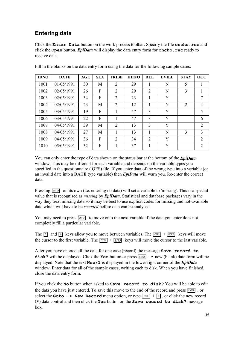# **Entering data**

Click the **Enter** Data button on the work process toolbar. Specify the file **oncho**. rec and click the Open button.  $EpiData$  will display the data entry form for oncho. rec ready to receive data.

| <b>IDNO</b> | <b>DATE</b> | AGE | <b>SEX</b> | <b>TRIBE</b>   | <b>HHNO</b> | <b>REL</b>     | <b>LVILL</b> | <b>STAY</b>   | $\rm occ$      |
|-------------|-------------|-----|------------|----------------|-------------|----------------|--------------|---------------|----------------|
| 1001        | 01/05/1991  | 30  | M          | 2              | 29          | 1              | N            | 5             | 1              |
| 1002        | 02/05/1991  | 26  | F          | 2              | 29          | $\overline{2}$ | N            | 3             | 1              |
| 1003        | 02/05/1991  | 34  | F          | $\overline{2}$ | 23          | 1              | Y            |               | 7              |
| 1004        | 02/05/1991  | 23  | M          | 2              | 12          | 1              | N            | 2             | 4              |
| 1005        | 03/05/1991  | 19  | F          |                | 47          | 3              | Y            |               | 5              |
| 1006        | 03/05/1991  | 22  | F          |                | 47          | 3              | Y            |               | 6              |
| 1007        | 04/05/1991  | 39  | M          | 2              | 13          | 3              | Y            |               | 2              |
| 1008        | 04/05/1991  | 27  | M          |                | 13          | 1              | N            | $\mathcal{E}$ | 3              |
| 1009        | 04/05/1991  | 36  | F          | 2              | 34          | $\overline{2}$ | Y            |               | $\overline{2}$ |
| 1010        | 05/05/1991  | 32  | F          |                | 37          | 1              | Y            |               | 2              |

Fill in the blanks on the data entry form using the data for the following sample cases:

You can only enter the type of data shown on the status bar at the bottom of the *EpiData* window. This may be different for each variable and depends on the variable types you specified in the questionnaire (.QES) file. If you enter data of the wrong type into a variable (or an invalid date into a **DATE** type variable) then  $\text{EpiData}$  will warn you. Re-enter the correct data.

Pressing  $\boxed{\text{ENTER}}$  on its own (i.e. entering no data) will set a variable to 'missing'. This is a special value that is recognised as *missing* by *EnjData*. Statistical and database packages vary in the way they treat missing data so it may be best to use explicit codes for missing and not-available data which will have to be *recoded* before data can be analysed.

You may need to press **ENTER** to move onto the next variable if the data you enter does not completely fill a particular variable.

The  $\boxed{\uparrow}$  and  $\boxed{\downarrow}$  keys allow you to move between variables. The  $\boxed{\text{CFR}}$  +  $\boxed{\text{HOME}}$  keys will move the cursor to the first variable. The  $\boxed{\text{CTR}}$  +  $\boxed{\text{END}}$  keys will move the cursor to the last variable.

After you have entered all the data for one case (record) the message **Save record to** disk? will be displayed. Click the **Yes** button or press  $\boxed{\text{ENTER}}$ . A new (blank) data form will be displayed. Note that the text  $New/1$  is displayed in the lower right corner of the *EpiData* window. Enter data for all of the sample cases, writing each to disk. When you have finished, close the data entry form.

If you click the No button when asked to  $Save$  record to  $disk$ ? You will be able to edit the data you have just entered. To save this move to the end of the record and press  $\sqrt{F_{\text{ENTER}}}$ , or select the **Goto**  $\rightarrow$  **New Record** menu option, or type  $\boxed{\text{CTRL}} + \boxed{\text{N}}$ , or click the new record  $(*)$  data control and then click the Yes button on the Save record to disk? message box.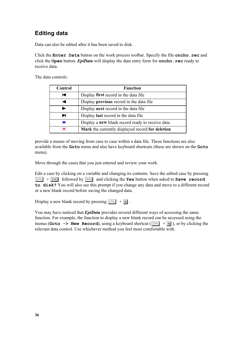# **Editing data**

Data can also be edited after it has been saved to disk.

Click the  $\texttt{Enter}\n$  Data button on the work process toolbar. Specify the file oncho. rec and click the  $Open$  button. *EpiData* will display the data entry form for  $oneho$ . rec ready to receive data.

The data controls:

| Control | <b>Function</b>                                         |
|---------|---------------------------------------------------------|
| н       | Display first record in the data file                   |
|         | Display <b>previous</b> record in the data file         |
|         | Display next record in the data file                    |
| ы       | Display <b>last</b> record in the data file             |
| ж       | Display a <b>new</b> blank record ready to receive data |
| ×       | Mark the currently displayed record for deletion        |

provide a means of moving from case to case within a data file. These functions are also available from the Goto menu and also have keyboard shortcuts (these are shown on the Goto menu).

Move through the cases that you just entered and review your work.

Edit a case by clicking on a variable and changing its contents. Save the edited case by pressing  $\boxed{\text{CTRL}}$  +  $\boxed{\text{END}}$  followed by  $\boxed{\text{ENTER}}$  and clicking the Yes button when asked to **Save record** to disk? You will also see this prompt if you change any data and move to a different record or a new blank record before saving the changed data.

Display a new blank record by pressing  $\boxed{\text{CTR}}$  +  $\boxed{\text{N}}$ .

You may have noticed that *EpiData* provides several different ways of accessing the same function. For example, the function to display a new blank record can be accessed using the menus (Goto -> New Record), using a keyboard shortcut ( $\boxed{\text{CFR}}$  +  $\boxed{\text{N}}$ ), or by clicking the relevant data control. Use whichever method you feel most comfortable with.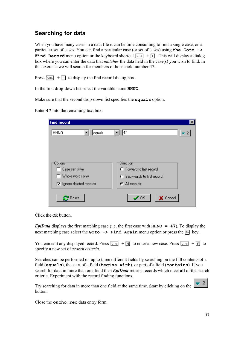# Searching for data

When you have many cases in a data file it can be time consuming to find a single case, or a particular set of cases. You can find a particular case (or set of cases) using the Goto  $\rightarrow$ **Find Record** menu option or the keyboard shortcut  $\boxed{\text{CFR}}$  +  $\boxed{F}$ . This will display a dialog box where you can enter the data that *matches* the data held in the case(s) you wish to find. In this exercise we will search for members of household number 47.

Press  $\boxed{\text{CTRL}}$  +  $\boxed{F}$  to display the find record dialog box.

In the first drop-down list select the variable name **HHNO**.

Make sure that the second drop-down list specifies the **equals** option.

Enter  $47$  into the remaining text box:

| <b>Find record</b>                     | $\vert x \vert$                       |
|----------------------------------------|---------------------------------------|
| <b>HHNO</b><br><sup>1</sup> equals     | 47<br>$\bullet$ 2                     |
|                                        |                                       |
| Options <sup>-</sup><br>Case sensitive | Direction<br>C Forward to last record |
| Whole words only                       | C Backwards to first record           |
| $\nabla$ Ignore deleted records        | C All records                         |
| $\mathbb{C}^{\mathsf{H}}$ Reset        | Cancel<br>OK.                         |

Click the **OK** button.

**EpiData** displays the first matching case (i.e. the first case with  $HHNO = 47$ ). To display the next matching case select the **Goto**  $\rightarrow$  **Find Again** menu option or press the  $\boxed{3}$  key.

You can edit any displayed record. Press  $\boxed{\text{CTRL}}$  +  $\boxed{\text{N}}$  to enter a new case. Press  $\boxed{\text{CTRL}}$  +  $\boxed{\text{F}}$  to specify a new set of *search criteria*.

Searches can be performed on up to three different fields by searching on the full contents of a field (equals), the start of a field (begins  $with$ ), or part of a field (contains). If you search for data in more than one field then *EpiData* returns records which meet all of the search criteria. Experiment with the record finding functions.

Try searching for data in more than one field at the same time. Start by clicking on the button.

Close the **oncho**. rec data entry form.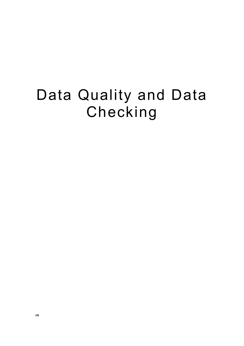# Data Quality and Data Checking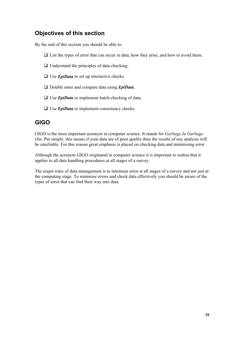## Objectives of this section

By the end of this section you should be able to:

- $\Box$  List the types of error that can occur in data, how they arise, and how to avoid them.
- $\Box$  Understand the principles of data checking.
- $\Box$  Use *EpiData* to set up interactive checks.
- $\Box$  Double enter and compare data using *EpiData*.
- $\Box$  Use *EpiData* to implement batch checking of data.
- $\Box$  Use *EpiData* to implement consistency checks.

## $GIGO$

GIGO is the most important acronym in computer science. It stands for *Garbage In Garbage* Out. Put simply, this means if your data are of poor quality then the results of any analysis will be unreliable. For this reason great emphasis is placed on checking data and minimising error.

Although the acronym GIGO originated in computer science it is important to realise that it applies to all data handling procedures at all stages of a survey.

The major roles of data management is to minimise error at all stages of a survey and not just at the computing stage. To minimise errors and check data effectively you should be aware of the types of error that can find their way into data.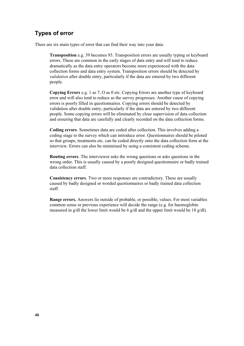## Types of error

There are six main types of error that can find their way into your data:

**Transposition** e.g. 39 becomes 93. Transposition errors are usually typing or keyboard errors. These are common in the early stages of data entry and will tend to reduce dramatically as the data entry operators become more experienced with the data collection forms and data entry system. Transposition errors should be detected by validation after double entry, particularly if the data are entered by two different people.

Copying Errors e.g. 1 as 7, O as 0 etc. Copying Errors are another type of keyboard error and will also tend to reduce as the survey progresses. Another cause of copying errors is poorly filled in questionnaires. Copying errors should be detected by validation after double entry, particularly if the data are entered by two different people. Some copying errors will be eliminated by close supervision of data collection and ensuring that data are carefully and clearly recorded on the data collection forms.

**Coding errors**. Sometimes data are coded after collection. This involves adding a coding stage to the survey which can introduce error. Questionnaires should be piloted so that groups, treatments etc. can be coded directly onto the data collection form at the interview. Errors can also be minimised by using a consistent coding scheme.

**Routing errors**. The interviewer asks the wrong questions or asks questions in the wrong order. This is usually caused by a poorly designed questionnaire or badly trained data collection staff.

**Consistency errors**. Two or more responses are contradictory. These are usually caused by badly designed or worded questionnaires or badly trained data collection staff.

Range errors. Answers lie outside of probable, or possible, values. For most variables common sense or previous experience will decide the range (e.g. for haemoglobin measured in g/dl the lower limit would be 6 g/dl and the upper limit would be 18 g/dl).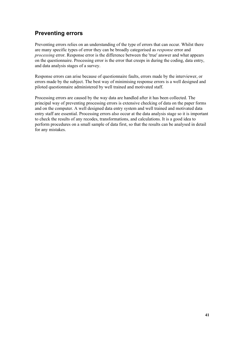# **Preventing errors**

Preventing errors relies on an understanding of the type of errors that can occur. Whilst there are many specific types of error they can be broadly categorised as *response* error and processing error. Response error is the difference between the 'true' answer and what appears on the questionnaire. Processing error is the error that creeps in during the coding, data entry, and data analysis stages of a survey.

Response errors can arise because of questionnaire faults, errors made by the interviewer, or errors made by the subject. The best way of minimising response errors is a well designed and piloted questionnaire administered by well trained and motivated staff.

Processing errors are caused by the way data are handled after it has been collected. The principal way of preventing processing errors is extensive checking of data on the paper forms and on the computer. A well designed data entry system and well trained and motivated data entry staff are essential. Processing errors also occur at the data analysis stage so it is important to check the results of any recodes, transformations, and calculations. It is a good idea to perform procedures on a small sample of data first, so that the results can be analysed in detail for any mistakes.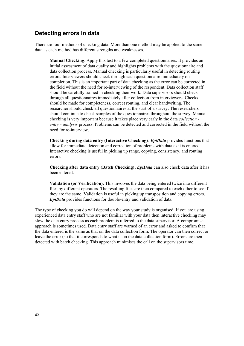## Detecting errors in data

There are four methods of checking data. More than one method may be applied to the same data as each method has different strengths and weaknesses.

Manual Checking. Apply this test to a few completed questionnaires. It provides an initial assessment of data quality and highlights problems with the questionnaire and data collection process. Manual checking is particularly useful in detecting routing errors. Interviewers should check through each questionnaire immediately on completion. This is an important part of data checking as the error can be corrected in the field without the need for re-interviewing of the respondent. Data collection staff should be carefully trained in checking their work. Data supervisors should check through all questionnaires immediately after collection from interviewers. Checks should be made for completeness, correct routing, and clear handwriting. The researcher should check all questionnaires at the start of a survey. The researchers should continue to check samples of the questionnaires throughout the survey. Manual checking is very important because it takes place very early in the data *collection*  $entrv$  - analysis process. Problems can be detected and corrected in the field without the need for re-interview.

Checking during data entry (Interactive Checking). *EpiData* provides functions that allow for immediate detection and correction of problems with data as it is entered. Interactive checking is useful in picking up range, copying, consistency, and routing errors.

Checking after data entry (Batch Checking).  $EpiData$  can also check data after it has been entered.

Validation (or Verification). This involves the data being entered twice into different files by different operators. The resulting files are then compared to each other to see if they are the same. Validation is useful in picking up transposition and copying errors. **EpiData** provides functions for double-entry and validation of data.

The type of checking you do will depend on the way your study is organised. If you are using experienced data entry staff who are not familiar with your data then interactive checking may slow the data entry process as each problem is referred to the data supervisor. A compromise approach is sometimes used. Data entry staff are warned of an error and asked to confirm that the data entered is the same as that on the data collection form. The operator can then correct or leave the error (so that it corresponds to what is on the data collection form). Errors are then detected with batch checking. This approach minimises the call on the supervisors time.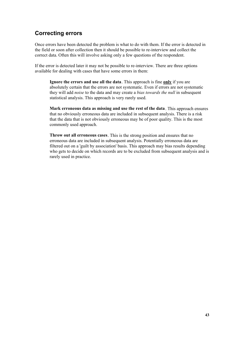# Correcting errors

Once errors have been detected the problem is what to do with them. If the error is detected in the field or soon after collection then it should be possible to re-interview and collect the correct data. Often this will involve asking only a few questions of the respondent.

If the error is detected later it may not be possible to re-interview. There are three options available for dealing with cases that have some errors in them:

**Ignore the errors and use all the data.** This approach is fine only if you are absolutely certain that the errors are not systematic. Even if errors are not systematic they will add *noise* to the data and may create a *bias towards the null* in subsequent statistical analysis. This approach is very rarely used.

Mark erroneous data as missing and use the rest of the data. This approach ensures that no obviously erroneous data are included in subsequent analysis. There is a risk that the data that is not obviously erroneous may be of poor quality. This is the most commonly used approach.

Throw out all erroneous cases. This is the strong position and ensures that no erroneous data are included in subsequent analysis. Potentially erroneous data are filtered out on a 'guilt by association' basis. This approach may bias results depending who gets to decide on which records are to be excluded from subsequent analysis and is rarely used in practice.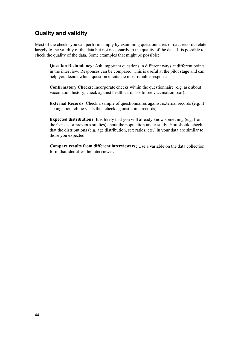## Quality and validity

Most of the checks you can perform simply by examining questionnaires or data records relate largely to the validity of the data but not necessarily to the quality of the data. It is possible to check the quality of the data. Some examples that might be possible:

Question Redundancy: Ask important questions in different ways at different points in the interview. Responses can be compared. This is useful at the pilot stage and can help you decide which question elicits the most reliable response.

Confirmatory Checks: Incorporate checks within the questionnaire (e.g. ask about vaccination history, check against health card, ask to see vaccination scar).

**External Records**: Check a sample of questionnaires against external records (e.g. if asking about clinic visits then check against clinic records).

**Expected distributions:** It is likely that you will already know something (e.g. from the Census or previous studies) about the population under study. You should check that the distributions (e.g. age distribution, sex ratios, etc.) in your data are similar to those you expected.

Compare results from different interviewers: Use a variable on the data collection form that identifies the interviewer.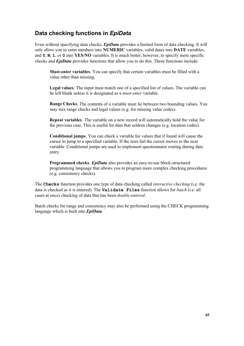# Data checking functions in EpiData

Even without specifying data checks, *EpiData* provides a limited form of data checking. It will only allow you to enter numbers into NUMERIC variables, valid dates into DATE variables, and  $Y$ , N, 1, or 0 into YES/NO variables. It is much better, however, to specify more specific checks and  $EpiData$  provides functions that allow you to do this. These functions include:

Must-enter variables. You can specify that certain variables must be filled with a value other than missing.

**Legal values**. The input must match one of a specified list of values. The variable can be left blank unless it is designated as a *must-enter* variable.

**Range Checks**. The contents of a variable must lie between two bounding values. You may mix range checks and legal values (e.g. for missing value codes).

**Repeat variables**. The variable on a new record will automatically hold the value for the previous case. This is useful for data that seldom changes (e.g. location codes).

**Conditional jumps**. You can check a variable for values that if found will cause the cursor to jump to a specified variable. If the tests fail the cursor moves to the next variable. Conditional jumps are used to implement questionnaire routing during data entry.

Programmed checks. *EpiData* also provides an easy-to-use block-structured programming language that allows you to program more complex checking procedures (e.g. consistency checks).

The Checks function provides one type of data checking called *interactive checking* (i.e. the data is checked as it is entered). The **Validate Files** function allows for batch (i.e. all cases at once) checking of data that has been *double-entered*.

Batch checks for range and consistency may also be performed using the CHECK programming language which is built into  $EpiData$ .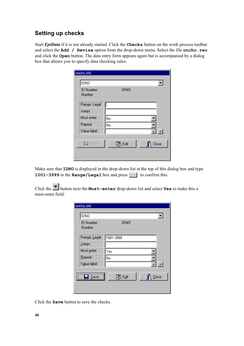# Setting up checks

Start *EpiData* if it is not already started. Click the **Checks** button on the work process toolbar and select the Add / Revise option from the drop-down menu. Select the file oncho. rec and click the **Open** button. The data entry form appears again but is accompanied by a dialog box that allows you to specify data checking rules:

| oncho.chk<br>IDNO          |             |       |
|----------------------------|-------------|-------|
| <b>ID Number</b><br>Number | <b>IDNO</b> |       |
| Range, Legal               |             |       |
| Jumps                      |             |       |
| Must enter                 | No          |       |
| Repeat                     | No          |       |
| Value label                |             | $+$   |
| $\Box$ Save                | 74 Edit     | Close |
|                            |             |       |

Make sure that **IDNO** is displayed in the drop-down list at the top of this dialog box and type 1001-3999 in the Range/Legal box and press  $\boxed{\text{ENTER}}$  to confirm this.

Click the **button next the Must-enter drop-down** list and select **Yes** to make this a must-enter field:

| oncho.chk<br>IDNO          |             |                      |
|----------------------------|-------------|----------------------|
| <b>ID Number</b><br>Number | <b>IDNO</b> |                      |
| Range, Legal               | 1001-3999   |                      |
| Jumps                      |             |                      |
| Must enter                 | Yes         |                      |
| Repeat                     | No          |                      |
| Value label                |             | $+$                  |
| $S$ ave<br>Ы               | ▓E₫it       | $\blacksquare$ Close |

Click the **Save** button to save the checks.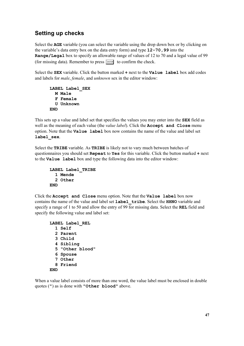# Setting up checks

Select the AGE variable (you can select the variable using the drop down box or by clicking on the variable's data entry box on the data entry form) and type  $12 - 70$ , 99 into the **Range/Legal** box to specify an allowable range of values of 12 to 70 and a legal value of 99 (for missing data). Remember to press  $\boxed{\text{ENTER}}$  to confirm the check.

Select the **SEX** variable. Click the button marked  $+$  next to the **Value label** box add codes and labels for *male*, *female*, and *unknown* sex in the editor window:

```
LABEL Label SEX
  M Male
  F Female
  U Unknown
END
```
This sets up a value and label set that specifies the values you may enter into the **SEX** field as well as the meaning of each value (the *value label*). Click the **Accept and Close** menu option. Note that the **Value label** box now contains the name of the value and label set label sex.

Select the TRIBE variable. As TRIBE is likely not to vary much between batches of questionnaires you should set  $\text{Repeat}$  to  $\text{Yes}$  for this variable. Click the button marked  $+$  next to the Value label box and type the following data into the editor window:

```
LABEL Label TRIBE
  1 Mende
  2 Other
END<sub></sub>
```
Click the Accept and Close menu option. Note that the Value label box now contains the name of the value and label set  $\text{label}$   $\text{tribe}$ . Select the  $\text{HHNO}$  variable and specify a range of 1 to 50 and allow the entry of 99 for missing data. Select the **REL** field and specify the following value and label set:

```
LABEL Label REL
  1 Self
  2 Parent
  3 Child
  4 Sibling
  5 "Other blood"
  6 Spouse
  7 Other
  8 Friend
END
```
When a value label consists of more than one word, the value label must be enclosed in double quotes  $($ ") as is done with "Other blood" above.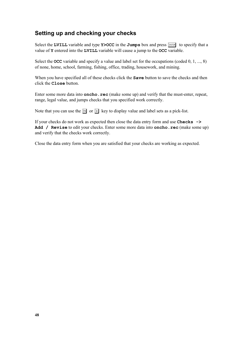## Setting up and checking your checks

Select the LVILL variable and type Y>OCC in the Jumps box and press  $\boxed{\text{ENTER}}$  to specify that a value of **Y** entered into the LVILL variable will cause a jump to the OCC variable.

Select the **OCC** variable and specify a value and label set for the occupations (coded  $0, 1, ..., 8$ ) of none, home, school, farming, fishing, office, trading, housework, and mining.

When you have specified all of these checks click the **Save** button to save the checks and then  $click$  the  $Close$  button.

Enter some more data into  $\mathbf{oncho} \cdot \mathbf{rec}$  (make some up) and verify that the must-enter, repeat, range, legal value, and jumps checks that you specified work correctly.

Note that you can use the  $\boxed{\phantom{0}8}$  or  $\boxed{+}$  key to display value and label sets as a pick-list.

If your checks do not work as expected then close the data entry form and use **Checks**  $\rightarrow$ Add / Revise to edit your checks. Enter some more data into oncho. rec (make some up) and verify that the checks work correctly.

Close the data entry form when you are satisfied that your checks are working as expected.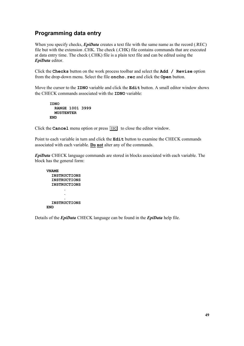## Programming data entry

When you specify checks,  $EpiData$  creates a text file with the same name as the record (.REC) file but with the extension .CHK. The check (.CHK) file contains commands that are executed at data entry time. The check (.CHK) file is a plain text file and can be edited using the EpiData editor.

Click the Checks button on the work process toolbar and select the  $Add /$  Revise option from the drop-down menu. Select the file **oncho**. rec and click the **Open** button.

Move the cursor to the  $IDNO$  variable and click the  $Edit$  button. A small editor window shows the CHECK commands associated with the **IDNO** variable:

,'12 RANGE 1001 3999 **MUSTENTER**  $FND$ 

Click the **Cancel** menu option or press  $\boxed{\text{ESC}}$  to close the editor window.

Point to each variable in turn and click the  $\text{Edit}$  button to examine the CHECK commands associated with each variable. Do not alter any of the commands.

**EpiData** CHECK language commands are stored in blocks associated with each variable. The block has the general form:

**VNAME** INSTRUCTIONS INSTRUCTIONS INSTRUCTIONS  $\mathcal{L} = \mathcal{L}$ and a straight and  $\mathcal{L} = \mathcal{L}$ INSTRUCTIONS END.

Details of the *EpiData* CHECK language can be found in the *EpiData* help file.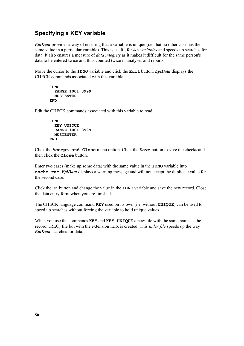## Specifying a KEY variable

 $EpiData$  provides a way of ensuring that a variable is unique (i.e. that no other case has the same value in a particular variable). This is useful for key variables and speeds up searches for data. It also ensures a measure of *data integrity* as it makes it difficult for the same person's data to be entered twice and thus counted twice in analyses and reports.

Move the cursor to the **IDNO** variable and click the **Edit** button. *EpiData* displays the CHECK commands associated with this variable:

```
IDNO
 RANGE 1001 3999
 MUSTENTER
END
```
Edit the CHECK commands associated with this variable to read:

```
IDNO
 KEY UNIQUE
 RANGE 1001 3999
 MUSTENTER
END
```
Click the Accept and Close menu option. Click the Save button to save the checks and then click the **Close** button.

Enter two cases (make up some data) with the same value in the **IDNO** variable into oncho.  $\texttt{rec. EpilData}$  displays a warning message and will not accept the duplicate value for the second case.

Click the **OK** button and change the value in the **IDNO** variable and save the new record. Close the data entry form when you are finished.

The CHECK language command  $KEY$  used on its own (i.e. without  $UNIQUE)$ ) can be used to speed up searches without forcing the variable to hold unique values.

When you use the commands  $K EY$  and  $K EY$  UNIQUE a new file with the same name as the record (.REC) file but with the extension .EIX is created. This *index file* speeds up the way EpiData searches for data.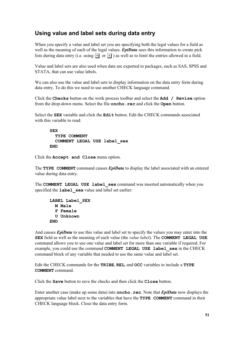## Using value and label sets during data entry

When you specify a value and label set you are specifying both the legal values for a field as well as the meaning of each of the legal values.  $EpiData$  uses this information to create pick lists during data entry (i.e. using  $\boxed{\phantom{[}5\phantom{]} }$  or  $\boxed{+}$ ) as well as to limit the entries allowed in a field.

Value and label sets are also used when data are exported to packages, such as SAS, SPSS and STATA, that can use value labels.

We can also use the value and label sets to display information on the data entry form during data entry. To do this we need to use another CHECK language command.

Click the Checks button on the work process toolbar and select the  $Add /$  Revise option from the drop-down menu. Select the file **oncho**. rec and click the **Open** button.

Select the **SEX** variable and click the  $\text{Edit}$  button. Edit the CHECK commands associated with this variable to read:

```
SEX
 TYPE COMMENT
 COMMENT LEGAL USE label sex
END
```
Click the Accept and Close menu option.

The TYPE COMMENT command causes  $EpiData$  to display the label associated with an entered value during data entry.

The COMMENT LEGAL USE label sex command was inserted automatically when you specified the  $\texttt{label} \texttt{sex}$  value and label set earlier:

```
LABEL Label SEX
  M Male
  F Female
 U Unknown
END
```
And causes *EpiData* to use this value and label set to specify the values you may enter into the **SEX** field as well as the meaning of each value (the *value label*). The **COMMENT** LEGAL USE command allows you to use one value and label set for more than one variable if required. For example, you could use the command COMMENT LEGAL USE label sex in the CHECK command block of any variable that needed to use the same value and label set.

Edit the CHECK commands for the **TRIBE, REL,** and  $\text{OCC}$  variables to include a  $\text{TYPE}$ COMMENT command.

Click the **Save** button to save the checks and then click the **Close** button.

Enter another case (make up some data) into **oncho**. **rec**. Note that  $\text{EpiData}$  now displays the appropriate value label next to the variables that have the  $TYPE$  COMMENT command in their CHECK language block. Close the data entry form.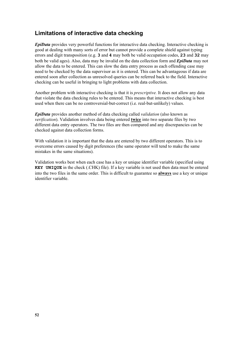## Limitations of interactive data checking

**EpiData** provides very powerful functions for interactive data checking. Interactive checking is good at dealing with many sorts of error but cannot provide a complete shield against typing errors and digit transposition (e.g.  $3$  and  $4$  may both be valid occupation codes,  $23$  and  $32$  may both be valid ages). Also, data may be invalid on the data collection form and  $EpiData$  may not allow the data to be entered. This can slow the data entry process as each offending case may need to be checked by the data supervisor as it is entered. This can be advantageous if data are entered soon after collection as unresolved queries can be referred back to the field. Interactive checking can be useful in bringing to light problems with data collection.

Another problem with interactive checking is that it is *prescriptive*. It does not allow any data that violate the data checking rules to be entered. This means that interactive checking is best used when there can be no controversial-but-correct (i.e. real-but-unlikely) values.

**EpiData** provides another method of data checking called *validation* (also known as  $verification)$ . Validation involves data being entered twice into two separate files by two different data entry operators. The two files are then compared and any discrepancies can be checked against data collection forms.

With validation it is important that the data are entered by two different operators. This is to overcome errors caused by digit preferences (the same operator will tend to make the same mistakes in the same situations).

Validation works best when each case has a key or unique identifier variable (specified using **KEY UNIQUE** in the check (.CHK) file). If a key variable is not used then data must be entered into the two files in the same order. This is difficult to guarantee so **always** use a key or unique identifier variable.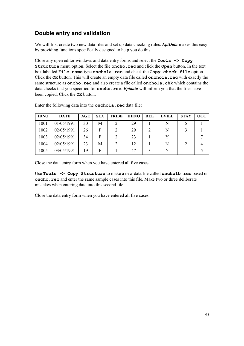# Double entry and validation

We will first create two new data files and set up data checking rules.  $EpiData$  makes this easy by providing functions specifically designed to help you do this.

Close any open editor windows and data entry forms and select the  $\texttt{Tools} \rightarrow \texttt{Copy}$ Structure menu option. Select the file oncho. rec and click the Open button. In the text box labelled File name type onchola. rec and check the Copy check file option. Click the **OK** button. This will create an empty data file called **onchola**. **rec** with exactly the same structure as **oncho**. rec and also create a file called **onchola**. chk which contains the data checks that you specified for **oncho**. **rec.** *Epidata* will inform you that the files have been copied. Click the OK button.

| <b>IDNO</b> | <b>DATE</b> | AGE | <b>SEX</b> | <b>TRIBE</b> | <b>HHNO</b> | <b>REL</b> | <b>LVILL</b> | <b>STAY</b> | $\overline{OCC}$ |
|-------------|-------------|-----|------------|--------------|-------------|------------|--------------|-------------|------------------|
| 1001        | 01/05/1991  | 30  | Μ          |              | 29          |            |              |             |                  |
| 1002        | 02/05/1991  | 26  | F          |              | 29          |            | N            |             |                  |
| 1003        | 02/05/1991  | 34  | F          |              | 23          |            |              |             |                  |
| 1004        | 02/05/1991  | 23  | Μ          |              | 12          |            | N            |             |                  |
| 1005        | 03/05/1991  | 19  | F          |              | 47          |            |              |             |                  |

Enter the following data into the **onchola**.  $\text{rec}$  data file:

Close the data entry form when you have entered all five cases.

Use Tools  $\rightarrow$  Copy Structure to make a new data file called oncholb. rec based on oncho. rec and enter the same sample cases into this file. Make two or three deliberate mistakes when entering data into this second file.

Close the data entry form when you have entered all five cases.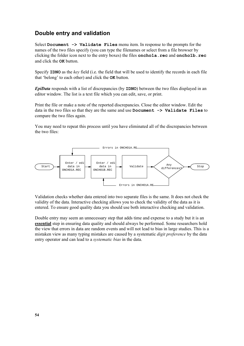## Double entry and validation

Select Document  $\rightarrow$  Validate Files menu item. In response to the prompts for the names of the two files specify (you can type the filenames or select from a file browser by clicking the folder icon next to the entry boxes) the files **onchola**. rec and **oncholb**. rec and click the **OK** button.

Specify  $\text{IDNO}$  as the key field (i.e. the field that will be used to identify the records in each file that 'belong' to each other) and click the  $\alpha$ K button.

**EpiData** responds with a list of discrepancies (by **IDNO**) between the two files displayed in an editor window. The list is a text file which you can edit, save, or print.

Print the file or make a note of the reported discrepancies. Close the editor window. Edit the data in the two files so that they are the same and use  $Document \rightarrow Validate \ Files$  to compare the two files again.

You may need to repeat this process until you have eliminated all of the discrepancies between the two files:



Validation checks whether data entered into two separate files is the same. It does not check the validity of the data. Interactive checking allows you to check the validity of the data as it is entered. To ensure good quality data you should use both interactive checking and validation.

Double entry may seem an unnecessary step that adds time and expense to a study but it is an essential step in ensuring data quality and should always be performed. Some researchers hold the view that errors in data are random events and will not lead to bias in large studies. This is a mistaken view as many typing mistakes are caused by a systematic *digit preference* by the data entry operator and can lead to a *systematic bias* in the data.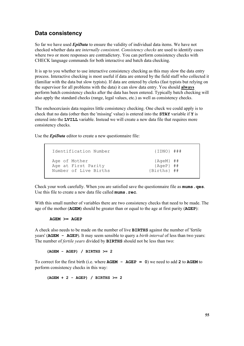## Data consistency

So far we have used *EpiData* to ensure the validity of individual data items. We have not checked whether data are internally consistent. Consistency checks are used to identify cases where two or more responses are contradictory. You can perform consistency checks with CHECK language commands for both interactive and batch data checking.

It is up to you whether to use interactive consistency checking as this may slow the data entry process. Interactive checking is most useful if data are entered by the field staff who collected it (familiar with the data but slow typists). If data are entered by clerks (fast typists but relying on the supervisor for all problems with the data) it can slow data entry. You should **always** perform batch consistency checks after the data has been entered. Typically batch checking will also apply the standard checks (range, legal values, etc.) as well as consistency checks.

The onchocerciasis data requires little consistency checking. One check we could apply is to check that no data (other then the 'missing' value) is entered into the **STAY** variable if **Y** is entered into the LVILL variable. Instead we will create a new data file that requires more consistency checks.

Use the  $EpiData$  editor to create a new questionnaire file:

| Identification Number | ${IDNO}$ $#$ $#$ $#$ |
|-----------------------|----------------------|
| Age of Mother         | ${Aqem}$ ##          |
| Age at First Parity   | ${AgeP}$ ##          |
| Number of Live Births | $\{Births\}$ ##      |

Check your work carefully. When you are satisfied save the questionnaire file as **mums**. **qes**. Use this file to create a new data file called  $mums$ .  $rec$ .

With this small number of variables there are two consistency checks that need to be made. The age of the mother ( $\overline{AGEM}$ ) should be greater than or equal to the age at first parity ( $\overline{AGEP}$ ):

#### $AGEM \geq AGER$

A check also needs to be made on the number of live **BIRTHS** against the number of 'fertile years' ( $\overline{A}$   $\overline{G}$   $\overline{E}$   $\overline{P}$ ). It may seem sensible to query a *birth interval* of less than two years: The number of *fertile vears* divided by **BIRTHS** should not be less than two:

 $(AGENT - AGER) / BIRTHS > = 2$ 

To correct for the first birth (i.e. where  $AGEM - AGEP = 0$ ) we need to add 2 to  $AGEM$  to perform consistency checks in this way:

 $(AGEM + 2 - AGEP)$  / BIRTHS >= 2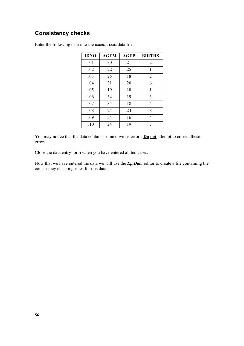# Consistency checks

| <b>IDNO</b> | <b>AGEM</b> | <b>AGEP</b> | <b>BIRTHS</b>  |
|-------------|-------------|-------------|----------------|
| 101         | 30          | 21          | 2              |
| 102         | 22          | 25          | 1              |
| 103         | 25          | 18          | $\overline{2}$ |
| 104         | 31          | 20          | 6              |
| 105         | 19          | 18          | 1              |
| 106         | 34          | 19          | 3              |
| 107         | 35          | 18          | $\overline{4}$ |
| 108         | 24          | 24          | 8              |
| 109         | 34          | 16          | 4              |
| 110         | 24          | 19          | 7              |

Enter the following data into the mums. rec data file:

You may notice that the data contains some obvious errors. Do not attempt to correct these errors.

Close the data entry form when you have entered all ten cases.

Now that we have entered the data we will use the *EpiData* editor to create a file containing the consistency checking rules for this data.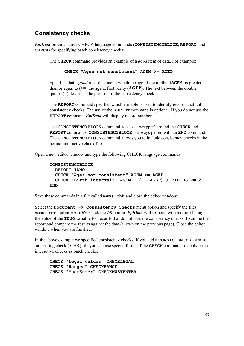## Consistency checks

EpiData provides three CHECK language commands (CONSISTENCYBLOCK, REPORT, and CHECK) for specifying batch consistency checks:

The **CHECK** command provides an example of a good item of data. For example:

CHECK "Ages not consistent"  $AGEM \geq AGEP$ 

Specifies that a good record is one in which the age of the mother ( $\triangle GEM$ ) is greater than or equal to  $(>=)$  the age at first parity ( $\angle AGEP$ ). The text between the double quotes (") describes the purpose of the consistency check.

The REPORT command specifies which variable is used to identify records that fail consistency checks. The use of the REPORT command is optional. If you do not use the **REPORT** command  $EpiData$  will display record numbers.

The CONSISTENCYBLOCK command acts as a 'wrapper' around the CHECK and REPORT commands. CONSISTENCYBLOCK is always paired with an END command. The **CONSISTENCYBLOCK** command allows you to include consistency checks in the normal interactive check file.

Open a new editor window and type the following CHECK language commands:

```
CONSISTENCYBLOCK
 REPORT IDNO
 CHECK "Ages not consistent" AGEM \geq AGEPCHECK "Birth interval" (AGEM + 2 - AGEP) / BIRTHS >= 2
END
```
Save these commands in a file called  $mums$ ,  $chk$  and close the editor window.

Select the Document  $\rightarrow$  Consistency Checks menu option and specify the files mums. rec and mums. chk. Click the OK button. *EpiData* will respond with a report listing the value of the **IDNO** variable for records that do not pass the consistency checks. Examine the report and compare the results against the data (shown on the previous page). Close the editor window when you are finished.

In the above example we specified consistency checks. If you add a CONSISTENCYBLOCK to an existing check  $(CHK)$  file you can use special forms of the **CHECK** command to apply basic interactive checks as batch checks:

CHECK "Legal values" CHECKLEGAL CHECK "Ranges" CHECKRANGE CHECK "MustEnter" CHECKMUSTENTER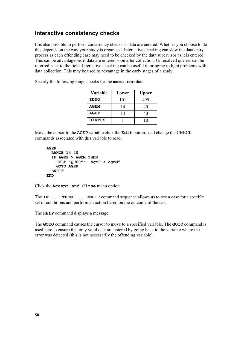## Interactive consistency checks

It is also possible to perform consistency checks as data are entered. Whether you choose to do this depends on the way your study is organised. Interactive checking can slow the data entry process as each offending case may need to be checked by the data supervisor as it is entered. This can be advantageous if data are entered soon after collection. Unresolved queries can be referred back to the field. Interactive checking can be useful in bringing to light problems with data collection. This may be used to advantage in the early stages of a study.

Specify the following range checks for the  $mums$ .  $rec$  data:

| Variable      | Lower | <b>Upper</b> |
|---------------|-------|--------------|
| <b>IDNO</b>   | 101   | 499          |
| <b>AGEM</b>   | 14    | 40           |
| <b>AGEP</b>   | 14    | 40           |
| <b>BIRTHS</b> |       | 10           |

Move the cursor to the AGEP variable click the Edit button. and change the CHECK commands associated with this variable to read:

```
AGEPRANGE 14 40
  IF AGEP > AGEM THEN
   HELP "QUERY: AgeP > AgeM"
    GOTO AGEP
  ENDIF
END
```
Click the Accept and Close menu option.

The  $IF$  ... THEN ... ENDIF command sequence allows us to test a case for a specific set of conditions and perform an action based on the outcome of the test.

The **HELP** command displays a message.

The GOTO command causes the cursor to move to a specified variable. The GOTO command is used here to ensure that only valid data are entered by going back to the variable where the error was detected (this is not necessarily the offending variable).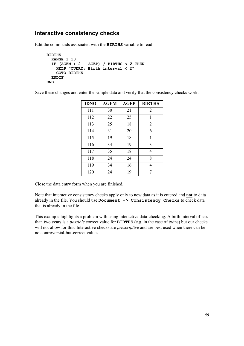### Interactive consistency checks

Edit the commands associated with the **BIRTHS** variable to read:

```
BIRTHS
  RANGE 1 10
  IF (AGEM + 2 - AGEP) / BIRTHS < 2 THEN
    HELP "QUERY: Birth interval \langle 2"
    GOTO BIRTHS
  ENDIF
END
```
Save these changes and enter the sample data and verify that the consistency checks work:

| <b>IDNO</b> | <b>AGEM</b> | <b>AGEP</b> | <b>BIRTHS</b>  |
|-------------|-------------|-------------|----------------|
| 111         | 30          | 21          | $\overline{2}$ |
| 112         | 22          | 25          | 1              |
| 113         | 25          | 18          | $\overline{2}$ |
| 114         | 31          | 20          | 6              |
| 115         | 19          | 18          | 1              |
| 116         | 34          | 19          | 3              |
| 117         | 35          | 18          | 4              |
| 118         | 24          | 24          | 8              |
| 119         | 34          | 16          | 4              |
| 120         | 24          | 19          | 7              |

Close the data entry form when you are finished.

Note that interactive consistency checks apply only to new data as it is entered and **not** to data already in the file. You should use Document -> Consistency Checks to check data that is already in the file.

This example highlights a problem with using interactive data-checking. A birth interval of less than two years is a *possible* correct value for **BIRTHS** (e.g. in the case of twins) but our checks will not allow for this. Interactive checks are *prescriptive* and are best used when there can be no controversial-but-correct values.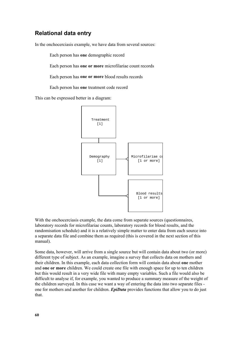In the onchocerciasis example, we have data from several sources:

Each person has one demographic record

Each person has one or more microfilariae count records

Each person has one or more blood results records

Each person has one treatment code record

This can be expressed better in a diagram:



With the onchocerciasis example, the data come from separate sources (questionnaires, laboratory records for microfilariae counts, laboratory records for blood results, and the randomisation schedule) and it is a relatively simple matter to enter data from each source into a separate data file and combine them as required (this is covered in the next section of this manual).

Some data, however, will arrive from a single source but will contain data about two (or more) different type of subject. As an example, imagine a survey that collects data on mothers and their children. In this example, each data collection form will contain data about one mother and one or more children. We could create one file with enough space for up to ten children but this would result in a very wide file with many empty variables. Such a file would also be difficult to analyse if, for example, you wanted to produce a summary measure of the weight of the children surveyed. In this case we want a way of entering the data into two separate files one for mothers and another for children. *EpiData* provides functions that allow you to do just that.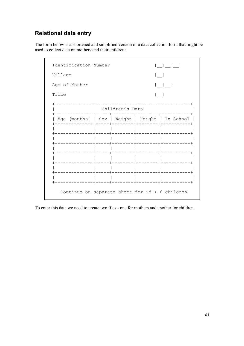The form below is a shortened and simplified version of a data collection form that might be used to collect data on mothers and their children:

| Identification Number                            |  |                 | and the contract of the contract of |
|--------------------------------------------------|--|-----------------|-------------------------------------|
| Village                                          |  |                 |                                     |
| Age of Mother                                    |  |                 |                                     |
| Tribe                                            |  |                 |                                     |
|                                                  |  | Children's Data |                                     |
| Age (months)   Sex   Weight   Height   In School |  |                 |                                     |
|                                                  |  |                 |                                     |
|                                                  |  |                 |                                     |
|                                                  |  |                 |                                     |
|                                                  |  |                 |                                     |
|                                                  |  |                 |                                     |
|                                                  |  |                 |                                     |

To enter this data we need to create two files - one for mothers and another for children.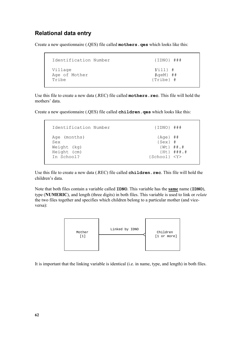Create a new questionnaire  $(QES)$  file called  $mothers. qes$  which looks like this:

```
 Identification Number {IDNO} ###
Village {V}Age of Mother \begin{array}{cccc} \text{Age} & \text{A} & \text{A} & \text{A} & \text{A} & \text{A} & \text{A} & \text{B} & \text{B} & \text{B} & \text{B} & \text{B} & \text{B} & \text{B} & \text{B} & \text{B} & \text{B} & \text{B} & \text{B} & \text{B} & \text{B} & \text{B} & \text{B} & \text{B} & \text{B} & \text{B} & \text{B} & \text{B} & \text{B} & \text{B} & \text{B} & \text{B} & \text{B} & \text Tribe {Tribe} #
```
Use this file to create a new data (.REC) file called **. <b>The unitary-** This file will hold the mothers' data.

Create a new questionnaire  $(QES)$  file called **children**. **qes** which looks like this:

```
 Identification Number {IDNO} ###
Age (months) { \text{Age } } ##
Sex {Sex} #<br>Weight (kg) {Wt} ##.#
 Weight (kg) {Wt} ##.#
Height (cm)<br>In School?
                              In School? {School} <Y>
```
Use this file to create a new data (.REC) file called  $children$ .  $rec$ . This file will hold the children's data.

Note that both files contain a variable called **IDNO**. This variable has the **same** name (**IDNO**), type (NUMERIC), and length (three digits) in both files. This variable is used to link or *relate* the two files together and specifies which children belong to a particular mother (and viceversa):



It is important that the linking variable is identical (i.e. in name, type, and length) in both files.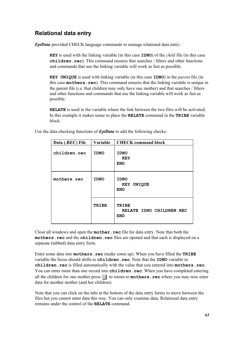**EpiData** provided CHECK language commands to manage relational data entry:

**KEY** is used with the linking variable (in this case  $IDNO$ ) of the *child* file (in this case  $children, rec)$ . This command ensures that searches / filters and other functions and commands that use the linking variable will work as fast as possible.

**KEY UNIQUE** is used with linking variable (in this case **IDNO**) in the *parent* file (in this case **mothers**. rec). This command ensures that the linking variable is unique in the parent file (i.e. that children may only have one mother) and that searches / filters and other functions and commands that use the linking variable will work as fast as possible.

**RELATE** is used in the variable where the link between the two files will be activated. In this example it makes sense to place the **RELATE** command in the **TRIBE** variable block.

Use the data checking functions of  $EpiData$  to add the following checks:

| Data (.REC) File | Variable     | <b>CHECK</b> command block                             |
|------------------|--------------|--------------------------------------------------------|
| children.rec     | <b>IDNO</b>  | <b>IDNO</b><br><b>KEY</b><br><b>END</b>                |
| mothers.rec      | <b>IDNO</b>  | <b>IDNO</b><br>KEY UNIQUE<br><b>END</b>                |
|                  | <b>TRIBE</b> | <b>TRIBE</b><br>RELATE IDNO CHILDREN.REC<br><b>END</b> |

Close all windows and open the mother. rec file for data entry. Note that both the mothers.rec and the children.rec files are opened and that each is displayed on a separate (tabbed) data entry form.

Enter some data into  $mothers$ .  $rec$  (make some up). When you have filled the  $TRIBE$ variable the focus should shifts to  $children$ .  $rec$ . Note that the IDNO variable in  $children$ .  $rec$  is filled automatically with the value that you entered into  $mothers$ .  $rec$ . You can enter more than one record into children. rec. When you have completed entering all the children for one mother press  $\mathbb{F}$  to return to **mothers**. **rec** where you may now enter data for another mother (and her children)

Note that you can click on the tabs at the bottom of the data entry forms to move between the files but you cannot enter data this way. You can only examine data. Relational data entry remains under the control of the RELATE command.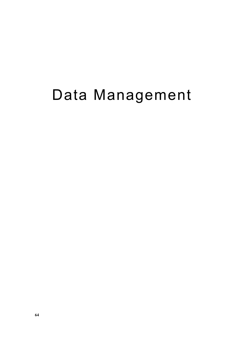# Data Management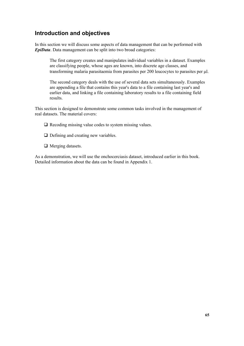## Introduction and objectives

In this section we will discuss some aspects of data management that can be performed with EpiData. Data management can be split into two broad categories:

The first category creates and manipulates individual variables in a dataset. Examples are classifying people, whose ages are known, into discrete age classes, and transforming malaria parasitaemia from parasites per  $200$  leucocytes to parasites per  $\mu$ l.

The second category deals with the use of several data sets simultaneously. Examples are appending a file that contains this year's data to a file containing last year's and earlier data, and linking a file containing laboratory results to a file containing field results.

This section is designed to demonstrate some common tasks involved in the management of real datasets. The material covers:

 $\Box$  Recoding missing value codes to system missing values.

- $\Box$  Defining and creating new variables.
- $\Box$  Merging datasets.

As a demonstration, we will use the onchocerciasis dataset, introduced earlier in this book. Detailed information about the data can be found in Appendix 1.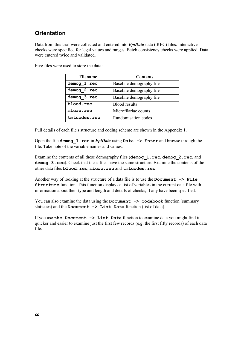# **Orientation**

Data from this trial were collected and entered into  $EpiData$  data (.REC) files. Interactive checks were specified for legal values and ranges. Batch consistency checks were applied. Data were entered twice and validated.

Five files were used to store the data:

| <b>Filename</b> | <b>Contents</b>          |
|-----------------|--------------------------|
| demog 1.rec     | Baseline demography file |
| demog 2.rec     | Baseline demography file |
| demog 3.rec     | Baseline demography file |
| blood.rec       | <b>Blood results</b>     |
| micro.rec       | Microfilariae counts     |
| tmtcodes.rec    | Randomisation codes      |

Full details of each file's structure and coding scheme are shown in the Appendix 1.

Open the file demog\_1. rec in  $EpiData$  using Data  $\rightarrow$  Enter and browse through the file. Take note of the variable names and values.

Examine the contents of all these demography files (demog\_1.rec, demog\_2.rec, and demog 3. rec). Check that these files have the same structure. Examine the contents of the other data files **blood**. rec. micro. rec and tmtcodes. rec.

Another way of looking at the structure of a data file is to use the  $Document \rightarrow File$ **Structure** function. This function displays a list of variables in the current data file with information about their type and length and details of checks, if any have been specified.

You can also examine the data using the  $Document$   $\rightarrow$   $Codebook$  function (summary statistics) and the Document  $\rightarrow$  List Data function (list of data).

If you use the Document  $\rightarrow$  List Data function to examine data you might find it quicker and easier to examine just the first few records (e.g. the first fifty records) of each data file.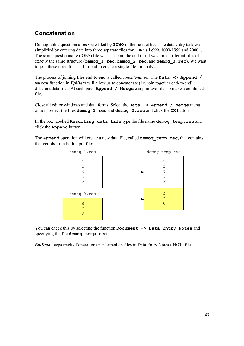# **Concatenation**

Demographic questionnaires were filed by **IDNO** in the field office. The data entry task was simplified by entering date into three separate files for  $IDNOS$  1-999, 1000-1999 and 2000+. The same questionnaire (.QES) file was used and the end result was three different files of exactly the same structure ( $d$ emoq  $1$ . rec,  $d$ emoq  $2$ . rec, and  $d$ emoq  $3$ . rec). We want to join these three files end-to-end to create a single file for analysis.

The process of joining files end-to-end is called *concatenation*. The **Data**  $\rightarrow$  **Append** / Merge function in  $EpiData$  will allow us to concatenate (i.e. join together end-to-end) different data files. At each pass, **Append**  $\ell$  **Merge** can join two files to make a combined file.

Close all editor windows and data forms. Select the  $Data \rightarrow$  Append / Merge menu option. Select the files demog 1. rec and demog 2. rec and click the OK button.

In the box labelled Resulting data file type the file name demog temp.rec and click the **Append** button.

The Append operation will create a new data file, called demog temp.rec, that contains the records from both input files:



You can check this by selecting the function Document -> Data Entry Notes and specifying the file demog temp.rec.

**EpiData** keeps track of operations performed on files in Data Entry Notes (.NOT) files.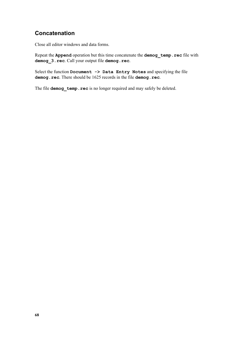## Concatenation

Close all editor windows and data forms.

Repeat the Append operation but this time concatenate the demog\_temp.rec file with demog 3. rec. Call your output file demog. rec.

Select the function Document -> Data Entry Notes and specifying the file demog.rec. There should be 1625 records in the file demog.rec.

The file demog temp.rec is no longer required and may safely be deleted.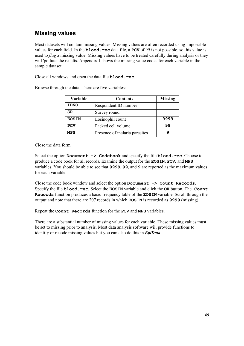# **Missing values**

Most datasets will contain missing values. Missing values are often recorded using impossible values for each field. In the **blood**.  $\text{rec}$  data file, a  $PCV$  of 99 is not possible, so this value is used to *flag* a missing value. Missing values have to be treated carefully during analysis or they will 'pollute' the results. Appendix 1 shows the missing value codes for each variable in the sample dataset.

Close all windows and open the data file **blood**. rec.

| Browse through the data. There are five variables: |  |
|----------------------------------------------------|--|
|----------------------------------------------------|--|

| Variable     | <b>Contents</b>               | <b>Missing</b> |
|--------------|-------------------------------|----------------|
| <b>IDNO</b>  | Respondent ID number          |                |
| SR.          | Survey round                  |                |
| <b>EOSIN</b> | Eosinophil count              | 9999           |
| <b>PCV</b>   | Packed cell volume            | 99             |
| <b>MPS</b>   | Presence of malaria parasites |                |

Close the data form.

Select the option Document -> Codebook and specify the file blood. rec. Choose to produce a code book for all records. Examine the output for the **EOSIN, PCV**, and **MPS** variables. You should be able to see that 9999, 99, and 9 are reported as the maximum values for each variable.

Close the code book window and select the option  $Document \rightarrow Count \, Records$ . Specify the file **blood. rec.** Select the **EOSIN** variable and click the **OK** button. The **Count** Records function produces a basic frequency table of the **EOSIN** variable. Scroll through the output and note that there are  $207$  records in which **EOSIN** is recorded as **9999** (missing).

Repeat the Count Records function for the PCV and MPS variables.

There are a substantial number of missing values for each variable. These missing values must be set to missing prior to analysis. Most data analysis software will provide functions to identify or recode missing values but you can also do this in  $EpiData$ .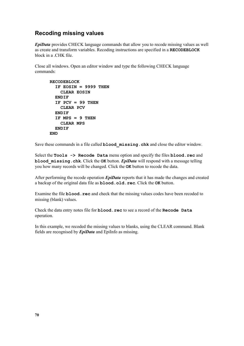## Recoding missing values

**EpiData** provides CHECK language commands that allow you to recode missing values as well as create and transform variables. Recoding instructions are specified in a RECODEBLOCK block in a .CHK file.

Close all windows. Open an editor window and type the following CHECK language commands:

```
RECODEBLOCK
  IF EOSIN = 9999 THEN
   CLEAR EOSIN
 ENDIF
  IF PCV = 99 THEN
   CLEAR PCV
 ENDIF
  IF MPS = 9 THEN
    CLEAR MPS
 ENDIF
END
```
Save these commands in a file called **blood missing.chk** and close the editor window.

Select the  $\texttt{Tools} \rightarrow \texttt{Recode}$  Data menu option and specify the files **blood**. rec and blood missing.  $chk$ . Click the OK button. *EpiData* will respond with a message telling you how many records will be changed. Click the OK button to recode the data.

After performing the recode operation  $EpiData$  reports that it has made the changes and created a backup of the original data file as **blood.old.rec**. Click the OK button.

Examine the file **blood**. **rec** and check that the missing values codes have been recoded to missing (blank) values.

Check the data entry notes file for **blood**. rec to see a record of the Recode Data operation.

In this example, we recoded the missing values to blanks, using the CLEAR command. Blank fields are recognised by  $EpiData$  and EpiInfo as missing.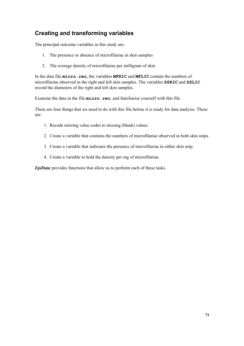# Creating and transforming variables

The principal outcome variables in this study are:

- 1. The presence or absence of microfilariae in skin samples
- 2. The average density of microfilariae per milligram of skin

In the data file  $micro$ ,  $rec$ , the variables **MFRIC** and **MFLIC** contain the numbers of microfilariae observed in the right and left skin samples. The variables SSRIC and SSLIC record the diameters of the right and left skin samples.

Examine the data in the file micro. rec. and familiarise yourself with this file.

There are four things that we need to do with this file before it is ready for data analysis. These are:

- 1. Recode missing value codes to missing (blank) values.
- 2. Create a variable that contains the numbers of microfilariae observed in both skin snips.
- 3. Create a variable that indicates the presence of microfilariae in either skin snip.
- 4. Create a variable to hold the density per mg of microfilariae.

EpiData provides functions that allow us to perform each of these tasks.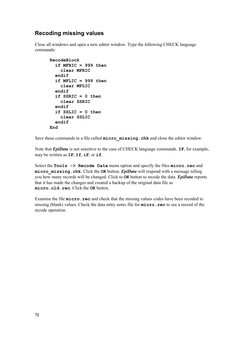## Recoding missing values

Close all windows and open a new editor window. Type the following CHECK language commands:

```
RecodeBlock
  if MFRIC = 999 then
    clear MFRIC
 endif
  if MFLIC = 999 then
    clear MFLIC
  endif
  if SSRIC = 0 then
    clear SSRIC
 endif
  if SSLIC = 0 then
    clear SSLIC
  endif
End
```
Save these commands in a file called micro missing. chk and close the editor window.

Note that *EpiData* is not sensitive to the case of CHECK language commands. IF, for example, may be written as  $IF$ ,  $IF$ ,  $IF$ , or if.

Select the Tools -> Recode Data menu option and specify the files micro. rec and  $micro$  missing.  $chk$ . Click the OK button. *EpiData* will respond with a message telling you how many records will be changed. Click to OK button to recode the data. *EpiData* reports that it has made the changes and created a backup of the original data file as micro.old.rec. Click the OK button.

Examine the file  $micro \cdot rec$  and check that the missing values codes have been recoded to missing (blank) values. Check the data entry notes file for  $micro$ .  $rec$  to see a record of the recode operation.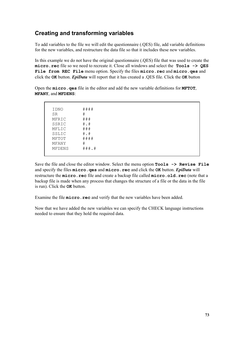# Creating and transforming variables

To add variables to the file we will edit the questionnaire (.QES) file, add variable definitions for the new variables, and restructure the data file so that it includes these new variables.

In this example we do not have the original questionnaire (.QES) file that was used to create the  $micro \t{.}$  rec file so we need to recreate it. Close all windows and select the  $Tools \rightarrow OES$ File from REC File menu option. Specify the files micro. rec and micro. qes and click the OK button. *EpiData* will report that it has created a .QES file. Click the OK button

Open the micro. ges file in the editor and add the new variable definitions for **MFTOT**. MFANY, and MFDENS:

 IDNO #### SR # MFRIC ### SSRIC #.# MFLIC ### SSLIC #.#<br>MFTOT #### MFTOT MFANY # MFDENS ###.#

Save the file and close the editor window. Select the menu option  $\text{Tools} \rightarrow \text{Review}$ and specify the files  $m\texttt{icro}$ ,  $q\texttt{es}$  and  $m\texttt{icro}$ ,  $\texttt{rec}$  and click the OK button. *EpiData* will restructure the micro. rec file and create a backup file called micro. old. rec (note that a backup file is made when any process that changes the structure of a file or the data in the file is run). Click the  $\alpha$  button.

Examine the file **micro**. rec and verify that the new variables have been added.

Now that we have added the new variables we can specify the CHECK language instructions needed to ensure that they hold the required data.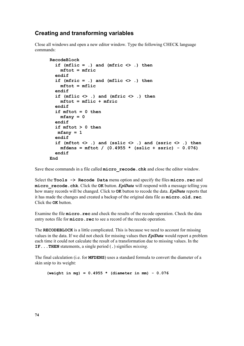### Creating and transforming variables

Close all windows and open a new editor window. Type the following CHECK language commands:

```
RecodeBlock
  if (mflic = .) and (mfric \langle \rangle .) then
    mftot = mfricendif
  if (mfric = .) and (mflic \langle \rangle .) then
    mftot = mflicendif
  if (mflic \langle \rangle .) and (mfric \langle \rangle .) then
    mftot = mflic + mfricendif
  if mftot = 0 then
    mfany = 0endif
  if mftot > 0 then
   mfany = 1endif
  if (mftot \langle \rangle .) and (sslic \langle \rangle .) and (ssric \langle \rangle .) then
    mfdens = mftot / (0.4955 * (sslice + ssrc) - 0.076)endif
End
```
Save these commands in a file called  $micro$  recode. chk and close the editor window.

Select the  $\texttt{Tools} \rightarrow \texttt{Recode}$  Data menu option and specify the files  $\texttt{micro}$ . rec and  $\text{micro } \text{recode} \cdot \text{chk}$ . Click the OK button. *EpiData* will respond with a message telling you how many records will be changed. Click to **OK** button to recode the data. *EpiData* reports that it has made the changes and created a backup of the original data file as  $micro.old.rec.$ Click the **OK** button.

Examine the file micro. rec and check the results of the recode operation. Check the data entry notes file for **micro**. **rec** to see a record of the recode operation.

The RECODEBLOCK is a little complicated. This is because we need to account for missing values in the data. If we did not check for missing values then  $EpiData$  would report a problem each time it could not calculate the result of a transformation due to missing values. In the **IF... THEN** statements, a single period (.) signifies *missing*.

The final calculation (i.e. for **MFDENS**) uses a standard formula to convert the diameter of a skin snip to its weight:

(weight in mg) =  $0.4955$  \* (diameter in mm) -  $0.076$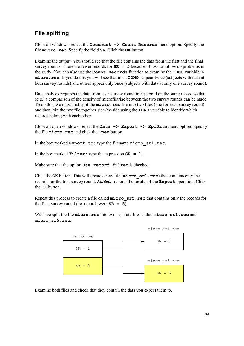# **File splitting**

Close all windows. Select the Document  $\rightarrow$  Count Records menu option. Specify the file  $micro \cdot rec$ . Specify the field  $SR$ . Click the  $OK$  button.

Examine the output. You should see that the file contains the data from the first and the final survey rounds. There are fewer records for  $SR = 5$  because of loss to follow up problems in the study. You can also use the **Count Records** function to examine the **IDNO** variable in micro. rec. If you do this you will see that most IDNOs appear twice (subjects with data at both survey rounds) and others appear only once (subjects with data at only one survey round).

Data analysis requires the data from each survey round to be stored on the same record so that (e.g.) a comparison of the density of microfilariae between the two survey rounds can be made. To do this, we must first split the **micro**. rec file into two files (one for each survey round) and then join the two file together side-by-side using the **IDNO** variable to identify which records belong with each other.

Close all open windows. Select the Data  $\rightarrow$  Export  $\rightarrow$  EpiData menu option. Specify the file micro. rec and click the Open button.

In the box marked  $\text{Export}$  to: type the filename micro  $\texttt{sr1.rec.}$ 

In the box marked  $\text{Filter}$ : type the expression  $SR = 1$ .

Make sure that the option Use record filter is checked.

Click the OK button. This will create a new file  $(micro srl.rec)$  that contains only the records for the first survey round. **Epidata** reports the results of the  $\text{Export}$  operation. Click the **OK** button.

Repeat this process to create a file called  $micro\_sr5$ . rec that contains only the records for the final survey round (i.e. records were  $SR = 5$ ).

We have split the file  $micro$ . rec into two separate files called  $micro$   $sr1$ . rec and micro sr5.rec:



Examine both files and check that they contain the data you expect them to.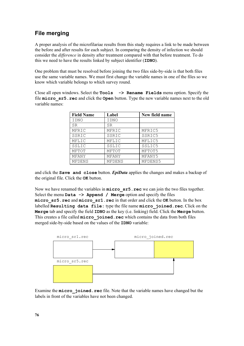## File merging

A proper analysis of the microfilariae results from this study requires a link to be made between the before and after results for each subject. In comparing the density of infection we should consider the *difference* in density after treatment compared with that before treatment. To do this we need to have the results linked by subject identifier  $(IDNO)$ .

One problem that must be resolved before joining the two files side-by-side is that both files use the same variable names. We must first change the variable names in one of the files so we know which variable belongs to which survey round.

Close all open windows. Select the **Tools -> Rename Fields** menu option. Specify the file  $micro$   $sr5$ .  $rec$  and click the  $Open$  button. Type the new variable names next to the old variable names:

| <b>Field Name</b> | Label  | New field name |
|-------------------|--------|----------------|
| IDNO              | IDNO   |                |
| SR                | SR     |                |
| MFRIC             | MFRIC  | MFRIC5         |
| SSRIC             | SSRIC  | SSRIC5         |
| MFLIC             | MFLIC  | MFLIC5         |
| SSLIC             | SSLIC  | SSLIC5         |
| MFTOT             | MFTOT  | MFTOT5         |
| MFANY             | MFANY  | MFANY5         |
| MFDENS            | MFDENS | MFDENS5        |

and click the **Save** and close button. *EpiData* applies the changes and makes a backup of the original file. Click the **OK** button.

Now we have renamed the variables in  $micro$   $sr5$ .  $rec$  we can join the two files together. Select the menu  $\text{Data} \rightarrow \text{Append}$  / Merge option and specify the files  $micro$   $sr5$ .  $rec$  and  $micro$   $sr1$ .  $rec$  in that order and click the  $OK$  button. In the box labelled Resulting data file: type the file name micro joined. rec. Click on the Merge tab and specify the field  $IDNO$  as the key (i.e. linking) field. Click the Merge button. This creates a file called micro\_joined.rec which contains the data from both files merged side-by-side based on the values of the **IDNO** variable:



Examine the micro joined. rec file. Note that the variable names have changed but the labels in front of the variables have not been changed.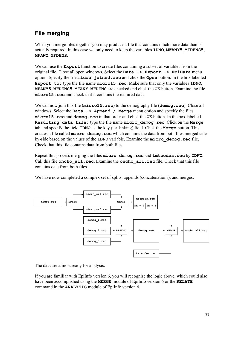# File merging

When you merge files together you may produce a file that contains much more data than is actually required. In this case we only need to keep the variables  $IDNO$ ,  $MFANY5$ ,  $MFDENSS$ , MFANY, MFDENS.

We can use the **Export** function to create files containing a subset of variables from the original file. Close all open windows. Select the  $Data \rightarrow Export \rightarrow Epibata$  menu option. Specify the file micro joined. rec and click the Open button. In the box labelled Export to: type the file name  $micro15$ . rec. Make sure that only the variables IDNO, MFANY5, MFDENS5, MFANY, MFDENS are checked and click the OK button. Examine the file micro15. rec and check that it contains the required data.

We can now join this file (micro15.rec) to the demography file (demog.rec). Close all windows. Select the  $Data \rightarrow Appendix$  menu option and specify the files micro15. rec and demog. rec in that order and click the OK button. In the box labelled Resulting data file: type the file name micro demog.rec. Click on the Merge tab and specify the field  $IDNO$  as the key (i.e. linking) field. Click the **Merge** button. This creates a file called  $\text{micro }$  demog. rec which contains the data from both files merged sideby-side based on the values of the IDNO variable. Examine the micro demog.rec file. Check that this file contains data from both files.

Repeat this process merging the files micro demog. rec and tmtcodes. rec by IDNO. Call this file oncho all.rec. Examine the oncho all.rec file. Check that this file contains data from both files.



We have now completed a complex set of splits, appends (concatenations), and merges:

The data are almost ready for analysis.

If you are familiar with EpiInfo version 6, you will recognise the logic above, which could also have been accomplished using the **MERGE** module of EpiInfo version 6 or the **RELATE** command in the **ANALYSIS** module of EpiInfo version 6.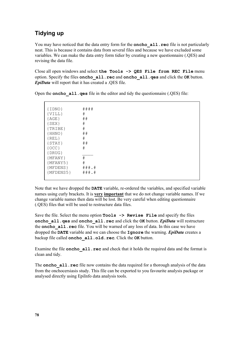# Tidying up

You may have noticed that the data entry form for the **oncho**  $all.$  **rec** file is not particularly neat. This is because it contains data from several files and because we have excluded some variables. We can make the data entry form tidier by creating a new questionnaire (.QES) and revising the data file.

Close all open windows and select the Tools  $\rightarrow$  QES File from REC File menu option. Specify the files oncho all. rec and oncho all. qes and click the OK button.  $EpiData$  will report that it has created a .QES file.

| $\{IDNO\}$  | ####        |
|-------------|-------------|
| $\{VILL\}$  | $_{\rm \#}$ |
| ${AGE}$     | ##          |
| ${SEX}$     | $\#$        |
| ${TRIBE}$   | $\#$        |
| ${HHNO}$    | ##          |
| $\{REL\}$   | $\#$        |
| ${STAY}$    | ##          |
| ${OCC}$     | $\#$        |
| $\{DRUG\}$  |             |
| ${MFANY}$   | #           |
| ${MFANY5}$  | $\#$        |
| ${MFDENS}$  | ###.#       |
| ${MFDENS5}$ | ###.#       |
|             |             |

Open the **oncho**  $all.$  **qes** file in the editor and tidy the questionnaire (.QES) file:

Note that we have dropped the DATE variable, re-ordered the variables, and specified variable names using curly brackets. It is very important that we do not change variable names. If we change variable names then data will be lost. Be very careful when editing questionnaire (.QES) files that will be used to restructure data files.

Save the file. Select the menu option  $\text{Tools} \rightarrow \text{Review}$  File and specify the files oncho all. ges and oncho all. rec and click the OK button.  $EpiData$  will restructure the oncho all. rec file. You will be warned of any loss of data. In this case we have dropped the **DATE** variable and we can choose the  $\text{Iqnore}$  the warning. *EpiData* creates a backup file called oncho all.old.rec. Click the OK button.

Examine the file **oncho**  $all$ . **rec** and check that it holds the required data and the format is clean and tidy.

The **oncho**  $all \text{ are of the now contains the data required for a thorough analysis of the data$ from the onchocersiasis study. This file can be exported to you favourite analysis package or analysed directly using EpiInfo data analysis tools.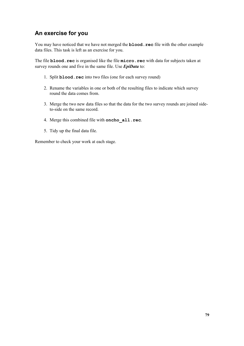# An exercise for you

You may have noticed that we have not merged the **blood**. rec file with the other example data files. This task is left as an exercise for you.

The file **blood**. rec is organised like the file micro. rec with data for subjects taken at survey rounds one and five in the same file. Use  $EpiData$  to:

- 1. Split **blood**. rec into two files (one for each survey round)
- 2. Rename the variables in one or both of the resulting files to indicate which survey round the data comes from.
- 3. Merge the two new data files so that the data for the two survey rounds are joined sideto-side on the same record.
- 4. Merge this combined file with oncho all.rec.
- 5. Tidy up the final data file.

Remember to check your work at each stage.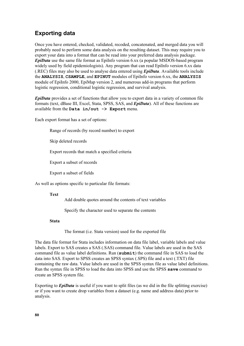# Exporting data

Once you have entered, checked, validated, recoded, concatenated, and merged data you will probably need to perform some data analysis on the resulting dataset. This may require you to export your data into a format that can be read into your preferred data analysis package.  $EpiData$  use the same file format as EpiInfo version 6.xx (a popular MSDOS-based program widely used by field epidemiologists). Any program that can read EpiInfo version 6.xx data (.REC) files may also be used to analyse data entered using  $EpiData$ . Available tools include the **ANALYSIS, CSAMPLE**, and **EPINUT** modules of EpiInfo version 6.xx, the **ANALYSIS** module of EpiInfo 2000, EpiMap version 2, and numerous add-in programs that perform logistic regression, conditional logistic regression, and survival analysis.

**EviData** provides a set of functions that allow you to export data in a variety of common file formats (text, dBase III, Excel, Stata, SPSS, SAS, and  $EpiData$ ). All of these functions are available from the Data  $in/out$  -> Export menu.

Each export format has a set of options:

Range of records (by record number) to export

Skip deleted records

Export records that match a specified criteria

Export a subset of records

Export a subset of fields

As well as options specific to particular file formats:

#### Text

Add double quotes around the contents of text variables

Specify the character used to separate the contents

#### Stata

The format (i.e. Stata version) used for the exported file

The data file format for Stata includes information on data file label, variable labels and value labels. Export to SAS creates a SAS (.SAS) command file. Value labels are used in the SAS command file as value label definitions. Run  $(\text{submit})$  the command file in SAS to load the data into SAS. Export to SPSS creates an SPSS syntax (.SPS) file and a text (.TXT) file containing the raw data. Value labels are used in the SPSS syntax file as value label definitions. Run the syntax file in SPSS to load the data into SPSS and use the SPSS save command to create an SPSS system file.

Exporting to  $EpiData$  is useful if you want to split files (as we did in the file splitting exercise) or if you want to create drop variables from a dataset (e.g. name and address data) prior to analysis.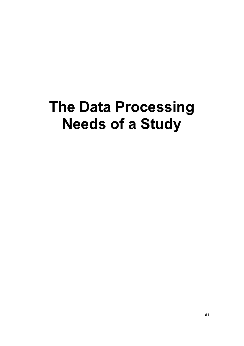# The Data Processing **Needs of a Study**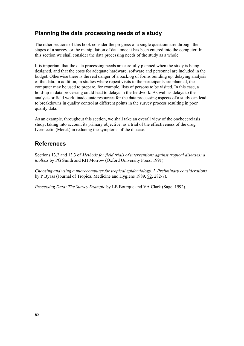## Planning the data processing needs of a study

The other sections of this book consider the progress of a single questionnaire through the stages of a survey, or the manipulation of data once it has been entered into the computer. In this section we shall consider the data processing needs of the study as a whole.

It is important that the data processing needs are carefully planned when the study is being designed, and that the costs for adequate hardware, software and personnel are included in the budget. Otherwise there is the real danger of a backlog of forms building up, delaying analysis of the data. In addition, in studies where repeat visits to the participants are planned, the computer may be used to prepare, for example, lists of persons to be visited. In this case, a hold-up in data processing could lead to delays in the fieldwork. As well as delays to the analysis or field work, inadequate resources for the data processing aspects of a study can lead to breakdowns in quality control at different points in the survey process resulting in poor quality data.

As an example, throughout this section, we shall take an overall view of the onchocerciasis study, taking into account its primary objective, as a trial of the effectiveness of the drug Ivermectin (Merck) in reducing the symptoms of the disease.

# References

Sections 13.2 and 13.3 of Methods for field trials of interventions against tropical diseases: a toolbox by PG Smith and RH Morrow (Oxford University Press, 1991)

Choosing and using a microcomputer for tropical epidemiology. I. Preliminary considerations by P Byass (Journal of Tropical Medicine and Hygiene 1989, 92, 282-7).

*Processing Data: The Survey Example* by LB Bourque and VA Clark (Sage, 1992).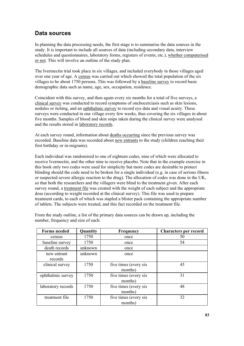## Data sources

In planning the data processing needs, the first stage is to summarise the data sources in the study. It is important to include all sources of data (including secondary data, interview schedules and questionnaires, laboratory forms, registers of events, etc.), whether computerised or not. This will involve an outline of the study plan.

The Ivermectin trial took place in six villages, and included everybody in those villages aged over one year of age. A census was carried out which showed the total population of the six villages to be about 1750 persons. This was followed by a baseline survey to record basic demographic data such as name, age, sex, occupation, residence.

Coincident with this survey, and then again every six months for a total of five surveys, a clinical survey was conducted to record symptoms of onchocerciasis such as skin lesions, nodules or itching, and an ophthalmic survey to record eye data and visual acuity. These surveys were conducted in one village every few weeks, thus covering the six villages in about five months. Samples of blood and skin snips taken during the clinical survey were analysed and the results stored in laboratory records.

At each survey round, information about deaths occurring since the previous survey was recorded. Baseline data was recorded about new entrants to the study (children reaching their first birthday or in-migrants).

Each individual was randomised to one of eighteen codes, nine of which were allocated to receive Ivermectin, and the other nine to receive placebo. Note that in the example exercise in this book only two codes were used for simplicity but more codes are desirable to protect blinding should the code need to be broken for a single individual (e.g. in case of serious illness or suspected severe allergic reaction to the drug). The allocation of codes was done in the UK, so that both the researchers and the villagers were blind to the treatment given. After each survey round, a treatment file was created with the weight of each subject and the appropriate dose (according to weight recorded at the clinical survey). This file was used to prepare treatment cards, to each of which was stapled a blister pack containing the appropriate number of tablets. The subjects were treated, and this fact recorded on the treatment file.

| <b>Forms needed</b>    | Quantity | <b>Frequency</b>                 | <b>Characters per record</b> |
|------------------------|----------|----------------------------------|------------------------------|
| census                 | 1750     | once                             | 50                           |
| baseline survey        | 1750     | once                             | 54                           |
| death records          | unknown  | once                             |                              |
| new entrant<br>records | unknown  | once                             |                              |
| clinical survey        | 1750     | five times (every six<br>months) | 45                           |
| ophthalmic survey      | 1750     | five times (every six<br>months) | 31                           |
| laboratory records     | 1750     | five times (every six<br>months) | 48                           |
| treatment file         | 1750     | five times (every six<br>months) | 32                           |

From the study outline, a list of the primary data sources can be drawn up, including the number, frequency and size of each: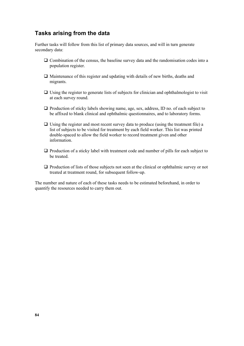### Tasks arising from the data

Further tasks will follow from this list of primary data sources, and will in turn generate secondary data:

- $\Box$  Combination of the census, the baseline survey data and the randomisation codes into a population register.
- $\Box$  Maintenance of this register and updating with details of new births, deaths and migrants.
- $\Box$  Using the register to generate lists of subjects for clinician and ophthalmologist to visit at each survey round.
- $\Box$  Production of sticky labels showing name, age, sex, address, ID no. of each subject to be affixed to blank clinical and ophthalmic questionnaires, and to laboratory forms.
- $\Box$  Using the register and most recent survey data to produce (using the treatment file) a list of subjects to be visited for treatment by each field worker. This list was printed double-spaced to allow the field worker to record treatment given and other information.
- $\Box$  Production of a sticky label with treatment code and number of pills for each subject to be treated.
- $\Box$  Production of lists of those subjects not seen at the clinical or ophthalmic survey or not treated at treatment round, for subsequent follow-up.

The number and nature of each of these tasks needs to be estimated beforehand, in order to quantify the resources needed to carry them out.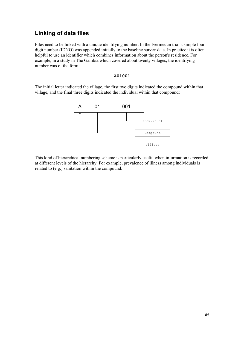# Linking of data files

Files need to be linked with a unique identifying number. In the Ivermectin trial a simple four digit number (IDNO) was appended initially to the baseline survey data. In practice it is often helpful to use an identifier which combines information about the person's residence. For example, in a study in The Gambia which covered about twenty villages, the identifying number was of the form:

#### A01001

The initial letter indicated the village, the first two digits indicated the compound within that village, and the final three digits indicated the individual within that compound:



This kind of hierarchical numbering scheme is particularly useful when information is recorded at different levels of the hierarchy. For example, prevalence of illness among individuals is related to (e.g.) sanitation within the compound.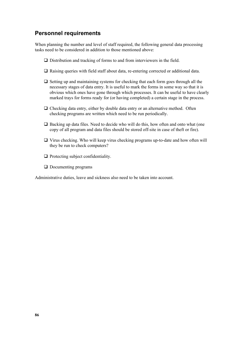### Personnel requirements

When planning the number and level of staff required, the following general data processing tasks need to be considered in addition to those mentioned above:

- $\Box$  Distribution and tracking of forms to and from interviewers in the field.
- $\Box$  Raising queries with field staff about data, re-entering corrected or additional data.
- $\Box$  Setting up and maintaining systems for checking that each form goes through all the necessary stages of data entry. It is useful to mark the forms in some way so that it is obvious which ones have gone through which processes. It can be useful to have clearly marked trays for forms ready for (or having completed) a certain stage in the process.
- $\Box$  Checking data entry, either by double data entry or an alternative method. Often checking programs are written which need to be run periodically.
- $\Box$  Backing up data files. Need to decide who will do this, how often and onto what (one copy of all program and data files should be stored off-site in case of theft or fire).
- $\Box$  Virus checking. Who will keep virus checking programs up-to-date and how often will they be run to check computers?
- $\Box$  Protecting subject confidentiality.
- $\Box$  Documenting programs

Administrative duties, leave and sickness also need to be taken into account.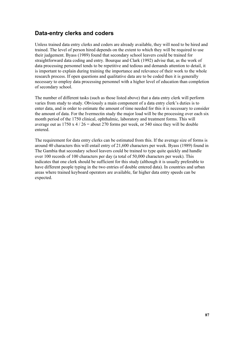## Data-entry clerks and coders

Unless trained data entry clerks and coders are already available, they will need to be hired and trained. The level of person hired depends on the extent to which they will be required to use their judgement. Byass (1989) found that secondary school leavers could be trained for straightforward data coding and entry. Bourque and Clark (1992) advise that, as the work of data processing personnel tends to be repetitive and tedious and demands attention to detail, it is important to explain during training the importance and relevance of their work to the whole research process. If open questions and qualitative data are to be coded then it is generally necessary to employ data processing personnel with a higher level of education than completion of secondary school.

The number of different tasks (such as those listed above) that a data entry clerk will perform varies from study to study. Obviously a main component of a data entry clerk's duties is to enter data, and in order to estimate the amount of time needed for this it is necessary to consider the amount of data. For the Ivermectin study the major load will be the processing over each six month period of the 1750 clinical, ophthalmic, laboratory and treatment forms. This will average out as  $1750 \times 4 / 26 =$  about 270 forms per week, or 540 since they will be double entered.

The requirement for data entry clerks can be estimated from this. If the average size of forms is around 40 characters this will entail entry of 21,600 characters per week. Byass (1989) found in The Gambia that secondary school leavers could be trained to type quite quickly and handle over 100 records of 100 characters per day (a total of 50,000 characters per week). This indicates that one clerk should be sufficient for this study (although it is usually preferable to have different people typing in the two entries of double entered data). In countries and urban areas where trained keyboard operators are available, far higher data entry speeds can be expected.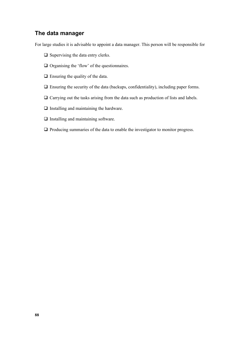#### The data manager

For large studies it is advisable to appoint a data manager. This person will be responsible for

- $\Box$  Supervising the data entry clerks.
- $\Box$  Organising the 'flow' of the questionnaires.
- $\Box$  Ensuring the quality of the data.
- $\Box$  Ensuring the security of the data (backups, confidentiality), including paper forms.
- $\Box$  Carrying out the tasks arising from the data such as production of lists and labels.
- $\Box$  Installing and maintaining the hardware.
- $\Box$  Installing and maintaining software.
- $\Box$  Producing summaries of the data to enable the investigator to monitor progress.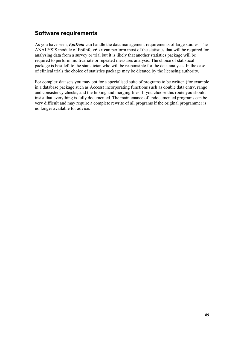# Software requirements

As you have seen, *EpiData* can handle the data management requirements of large studies. The ANALYSIS module of EpiInfo v6.xx can perform most of the statistics that will be required for analysing data from a survey or trial but it is likely that another statistics package will be required to perform multivariate or repeated measures analysis. The choice of statistical package is best left to the statistician who will be responsible for the data analysis. In the case of clinical trials the choice of statistics package may be dictated by the licensing authority.

For complex datasets you may opt for a specialised suite of programs to be written (for example in a database package such as Access) incorporating functions such as double data entry, range and consistency checks, and the linking and merging files. If you choose this route you should insist that everything is fully documented. The maintenance of undocumented programs can be very difficult and may require a complete rewrite of all programs if the original programmer is no longer available for advice.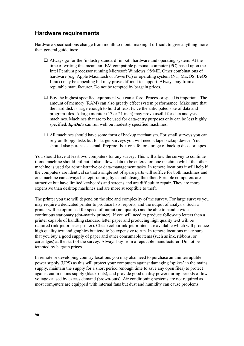#### Hardware requirements

Hardware specifications change from month to month making it difficult to give anything more than general guidelines:

- $\Box$  Always go for the 'industry standard' in both hardware and operating system. At the time of writing this meant an IBM compatible personal computer (PC) based upon the Intel Pentium processor running Microsoft Windows '98/ME. Other combinations of hardware (e.g. Apple Macintosh or PowerPC) or operating system (NT, MacOS, BeOS, Linux) may be appealing but may prove difficult to support. Always buy from a reputable manufacturer. Do not be tempted by bargain prices.
- $\Box$  Buy the highest specified equipment you can afford. Processor speed is important. The amount of memory (RAM) can also greatly effect system performance. Make sure that the hard disk is large enough to hold at least twice the anticipated size of data and program files. A large monitor (17 or 21 inch) may prove useful for data analysis machines. Machines that are to be used for data-entry purposes only can be less highly specified. *EpiData* can run well on modestly specified machines.
- $\Box$  All machines should have some form of backup mechanism. For small surveys you can rely on floppy disks but for larger surveys you will need a tape backup device. You should also purchase a small fireproof box or safe for storage of backup disks or tapes.

You should have at least two computers for any survey. This will allow the survey to continue if one machine should fail but it also allows data to be entered on one machine whilst the other machine is used for administrative or data-management tasks. In remote locations it will help if the computers are identical so that a single set of spare parts will suffice for both machines and one machine can always be kept running by cannibalising the other. Portable computers are attractive but have limited keyboards and screens and are difficult to repair. They are more expensive than desktop machines and are more susceptible to theft.

The printer you use will depend on the size and complexity of the survey. For large surveys you may require a dedicated printer to produce lists, reports, and the output of analysis. Such a printer will be optimised for speed of output (not quality) and be able to handle wide continuous stationary (dot-matrix printer). If you will need to produce follow-up letters then a printer capable of handling standard letter paper and producing high quality text will be required (ink-jet or laser printer). Cheap colour ink-jet printers are available which will produce high quality text and graphics but tend to be expensive to run. In remote locations make sure that you buy a good supply of paper and other consumable items (such as ink, ribbons, or cartridges) at the start of the survey. Always buy from a reputable manufacturer. Do not be tempted by bargain prices.

In remote or developing country locations you may also need to purchase an uninterruptible power supply (UPS) as this will protect your computers against damaging 'spikes' in the mains supply, maintain the supply for a short period (enough time to save any open files) to protect against cut in mains supply (black-outs), and provide good quality power during periods of low voltage caused by excess demand (brown-outs). Air conditioning systems are not required as most computers are equipped with internal fans but dust and humidity can cause problems.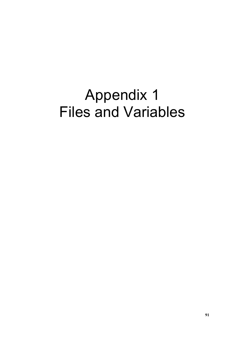# Appendix 1 Files and Variables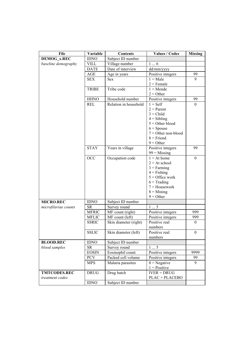| <b>File</b>          | Variable     | <b>Contents</b>       | <b>Values / Codes</b>              | <b>Missing</b> |
|----------------------|--------------|-----------------------|------------------------------------|----------------|
| <b>DEMOG x.REC</b>   | <b>IDNO</b>  | Subject ID number     |                                    |                |
| baseline demography  | <b>VILL</b>  | Village number        | 16                                 |                |
|                      | <b>DATE</b>  | Date of interview     | dd/mm/yyyy                         |                |
|                      | AGE          | Age in years          | Positive integers                  | 99             |
|                      | <b>SEX</b>   | Sex                   | $1 = Male$                         | 9              |
|                      |              |                       | $2 =$ Female                       |                |
|                      | <b>TRIBE</b> | Tribe code            | $1 =$ Mende                        |                |
|                      |              |                       | $2 = Other$                        |                |
|                      | <b>HHNO</b>  | Household number      | Positive integers                  | 99             |
|                      | <b>REL</b>   | Relation in household | $1 = Self$                         | $\Omega$       |
|                      |              |                       | $2 = Parent$                       |                |
|                      |              |                       | $3 = Child$                        |                |
|                      |              |                       | $4 = Sibling$<br>$5 =$ Other blood |                |
|                      |              |                       | $6 =$ Spouse                       |                |
|                      |              |                       | $7 =$ Other non-blood              |                |
|                      |              |                       | $8 =$ Friend                       |                |
|                      |              |                       | $9 = Other$                        |                |
|                      | <b>STAY</b>  | Years in village      | Positive integers                  | 99             |
|                      |              |                       | $99$ = Missing                     |                |
|                      | <b>OCC</b>   | Occupation code       | $1 = At home$                      | $\mathbf{0}$   |
|                      |              |                       | $2 = At school$                    |                |
|                      |              |                       | $3 = Farming$                      |                |
|                      |              |                       | $4 =$ Fishing                      |                |
|                      |              |                       | $5 =$ Office work                  |                |
|                      |              |                       | $6 = \text{Trading}$               |                |
|                      |              |                       | $7 =$ Housework                    |                |
|                      |              |                       | $8 =$ Mining<br>$9 = Other$        |                |
| <b>MICRO.REC</b>     | <b>IDNO</b>  | Subject ID number     |                                    |                |
| microfilariae counts | ${\rm SR}$   | Survey round          | 15                                 |                |
|                      | <b>MFRIC</b> | MF count (right)      | Positive integers                  | 999            |
|                      | <b>MFLIC</b> | MF count (left)       | Positive integers                  | 999            |
|                      | <b>SSRIC</b> | Skin diameter (right) | Positive real                      | $\theta$       |
|                      |              |                       | numbers                            |                |
|                      | <b>SSLIC</b> | Skin diameter (left)  | Positive real                      | $\bf{0}$       |
|                      |              |                       | numbers                            |                |
| <b>BLOOD.REC</b>     | <b>IDNO</b>  | Subject ID number     |                                    |                |
| blood samples        | <b>SR</b>    | Survey round          | 15                                 |                |
|                      | <b>EOSIN</b> | Eosinophil count      | Positive integers                  | 9999           |
|                      | <b>PCV</b>   | Packed cell volume    | Positive integers                  | 99             |
|                      | <b>MPS</b>   | Malaria parasites     | $0 = Negative$                     | 9              |
|                      |              |                       | $1 = Positive$                     |                |
| <b>TMTCODES.REC</b>  | <b>DRUG</b>  | Drug batch            | $IVER = DRUG$                      |                |
| treatment codes      |              |                       | $PLAC = PLACEBO$                   |                |
|                      | <b>IDNO</b>  | Subject ID number     |                                    |                |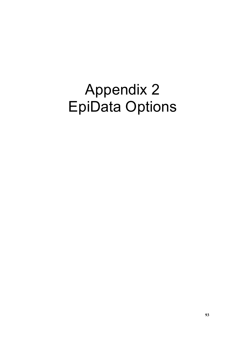# Appendix 2 EpiData Options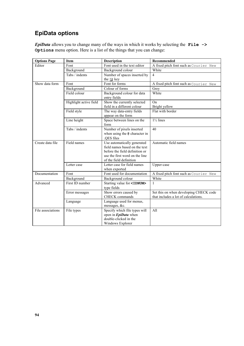# EpiData options

EpiData allows you to change many of the ways in which it works by selecting the File  $\rightarrow$ Options menu option. Here is a list of the things that you can change:

| <b>Options Page</b> | <b>Item</b>            | <b>Description</b>                                                                                                                                          | Recommended                                                                    |
|---------------------|------------------------|-------------------------------------------------------------------------------------------------------------------------------------------------------------|--------------------------------------------------------------------------------|
| Editor              | Font                   | Font used in the text editor                                                                                                                                | A fixed pitch font such as Courier New                                         |
|                     | Background             | Background colour                                                                                                                                           | White                                                                          |
|                     | Tabs / indents         | Number of spaces inserted by                                                                                                                                | $\overline{\mathcal{A}}$                                                       |
|                     |                        | the 图 key                                                                                                                                                   |                                                                                |
| Show data form      | Font                   | Font for forms                                                                                                                                              | A fixed pitch font such as Courier New                                         |
|                     | Background             | Colour of forms                                                                                                                                             | Grey                                                                           |
|                     | Field colour           | Background colour for data<br>entry fields                                                                                                                  | White                                                                          |
|                     | Highlight active field | Show the currently selected                                                                                                                                 | On                                                                             |
|                     |                        | field in a different colour                                                                                                                                 | Bright yellow                                                                  |
|                     | Field style            | The way data-entry fields<br>appear on the form                                                                                                             | Flat with border                                                               |
|                     | Line height            | Space between lines on the<br>form                                                                                                                          | $1\frac{1}{2}$ lines                                                           |
|                     | Tabs / indents         | Number of pixels inserted<br>when using the @ character in<br>QES files                                                                                     | 40                                                                             |
| Create data file    | Field names            | Use automatically generated<br>field names based on the text<br>before the field definition or<br>use the first word on the line<br>of the field definition | Automatic field names                                                          |
|                     | Letter case            | Letter case for field names<br>when exported                                                                                                                | Upper-case                                                                     |
| Documentation       | Font                   | Font used for documentation                                                                                                                                 | A fixed pitch font such as Courier New                                         |
|                     | Background             | Background colour                                                                                                                                           | White                                                                          |
| Advanced            | First ID number        | Starting value for <idnum><br/>type fields</idnum>                                                                                                          | 1                                                                              |
|                     | Error messages         | Show errors caused by<br><b>CHECK</b> commands                                                                                                              | Set this on when developing CHECK code<br>that includes a lot of calculations. |
|                     | Language               | Language used for menus,<br>messages, &c.                                                                                                                   |                                                                                |
| File associations   | File types             | Specify which file types will<br>open in <i>EpiData</i> when<br>double-clicked in the<br>Windows Explorer                                                   | All                                                                            |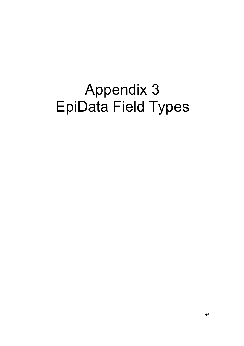# Appendix 3 EpiData Field Types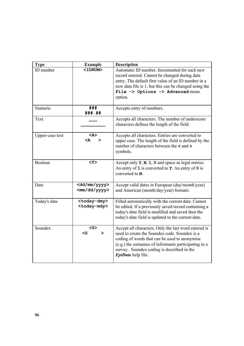| <b>Type</b>     | <b>Example</b>                                      | <b>Description</b>                                                                                                                                                                                                                                                                 |
|-----------------|-----------------------------------------------------|------------------------------------------------------------------------------------------------------------------------------------------------------------------------------------------------------------------------------------------------------------------------------------|
| ID number       | <idnum></idnum>                                     | Automatic ID number. Incremented for each new<br>record entered. Cannot be changed during data<br>entry. The default first value of an ID number in a<br>new data file is 1, but this can be changed using the<br>File -> Options -> Advanced menu<br>option.                      |
| Numeric         | ###<br>###.##                                       | Accepts entry of numbers.                                                                                                                                                                                                                                                          |
| Text            |                                                     | Accepts all characters. The number of underscore<br>characters defines the length of the field.                                                                                                                                                                                    |
| Upper-case text | $<$ A><br><a<br>⋗</a<br>                            | Accepts all characters. Entries are converted to<br>upper case. The length of the field is defined by the<br>number of characters between the $\leq$ and $\geq$<br>symbols.                                                                                                        |
| Boolean         | $<$ Y>                                              | Accept only $Y$ , $N$ , $1$ , $0$ and space as legal entries.<br>An entry of $1$ is converted to $Y$ . An entry of $0$ is<br>converted to N.                                                                                                                                       |
| Date            | <dd mm="" yyyy=""><br/><mm dd="" yyyy=""></mm></dd> | Accept valid dates in European (day/month/year)<br>and American (month/day/year) formats.                                                                                                                                                                                          |
| Today's date    | <today-dmy><br/><today-mdy></today-mdy></today-dmy> | Filled automatically with the current date. Cannot<br>be edited. If a previously saved record containing a<br>today's date field is modified and saved then the<br>today's date field is updated to the current date.                                                              |
| Soundex         | <s><br/><math>\texttt{&lt;}</math>s<br/>≻</s>       | Accept all characters. Only the last word entered is<br>used to create the Soundex code. Soundex is a<br>coding of words that can be used to anonymise<br>(e.g.) the surnames of informants participating in a<br>survey. Soundex coding is described in the<br>EpiData help file. |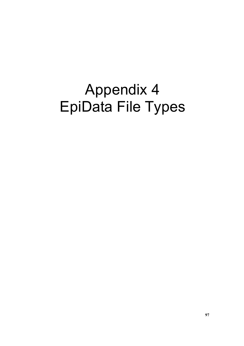# Appendix 4 EpiData File Types